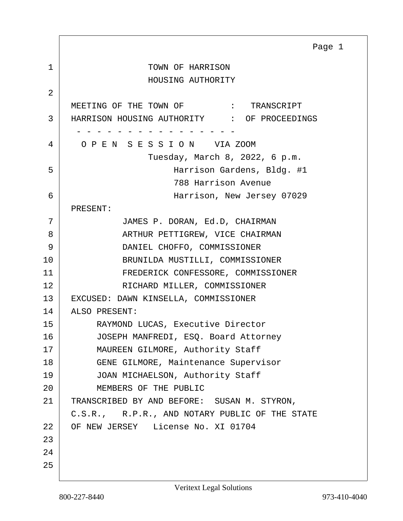<span id="page-0-0"></span>1 STRING TOWN OF HARRISON HOUSING AUTHORITY 2 MEETING OF THE TOWN OF  $\qquad$  : TRANSCRIPT 3 HARRISON HOUSING AUTHORITY : OF PROCEEDINGS - - - - - - - - - - - - - - - - 4 O P E N S E S S I O N VIA ZOOM Tuesday, March 8, 2022, 6 p.m. 5 Harrison Gardens, Bldg. #1 788 Harrison Avenue 6 Harrison, New Jersey 07029 PRESENT: 7 JAMES P. DORAN, Ed.D, CHAIRMAN 8 ARTHUR PETTIGREW, VICE CHAIRMAN 9 DANIEL CHOFFO, COMMISSIONER 10 BRUNILDA MUSTILLI, COMMISSIONER 11 FREDERICK CONFESSORE, COMMISSIONER 12 RICHARD MILLER, COMMISSIONER 13 EXCUSED: DAWN KINSELLA, COMMISSIONER 14 ALSO PRESENT: 15 RAYMOND LUCAS, Executive Director 16 JOSEPH MANFREDI, ESQ. Board Attorney 17 MAUREEN GILMORE, Authority Staff 18 GENE GILMORE, Maintenance Supervisor 19 JOAN MICHAELSON, Authority Staff 20 MEMBERS OF THE PUBLIC 21 TRANSCRIBED BY AND BEFORE: SUSAN M. STYRON, C.S.R., R.P.R., AND NOTARY PUBLIC OF THE STATE 22 OF NEW JERSEY License No. XI 01704 23 24 25 Page 1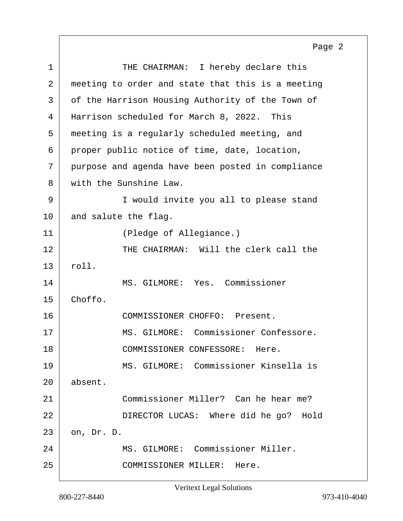<span id="page-1-0"></span>1 THE CHAIRMAN: I hereby declare this 2 meeting to order and state that this is a meeting 3 of the Harrison Housing Authority of the Town of 4 Harrison scheduled for March 8, 2022. This 5 meeting is a regularly scheduled meeting, and  $6$  proper public notice of time, date, location, 7 purpose and agenda have been posted in compliance 8 with the Sunshine Law. 9 | T would invite you all to please stand  $10$  and salute the flag. 11 (Pledge of Allegiance.) 12 THE CHAIRMAN: Will the clerk call the 13 roll. 14 MS. GILMORE: Yes. Commissioner 15 Choffo. 16 COMMISSIONER CHOFFO: Present. 17 MS. GILMORE: Commissioner Confessore. 18 COMMISSIONER CONFESSORE: Here. 19 MS. GILMORE: Commissioner Kinsella is 20 absent. 21 Commissioner Miller? Can he hear me? 22 DIRECTOR LUCAS: Where did he go? Hold 23 on, Dr. D. 24 | MS. GILMORE: Commissioner Miller. 25 COMMISSIONER MILLER: Here. Page 2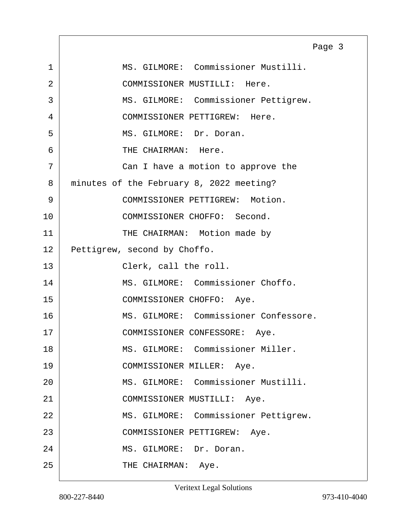<span id="page-2-0"></span>1 MS. GILMORE: Commissioner Mustilli. 2 COMMISSIONER MUSTILLI: Here. 3 MS. GILMORE: Commissioner Pettigrew. 4 COMMISSIONER PETTIGREW: Here. 5 MS. GILMORE: Dr. Doran. 6 THE CHAIRMAN: Here. 7 Can I have a motion to approve the 8 minutes of the February 8, 2022 meeting? 9 COMMISSIONER PETTIGREW: Motion. 10 COMMISSIONER CHOFFO: Second. 11 THE CHAIRMAN: Motion made by 12 Pettigrew, second by Choffo. 13 Clerk, call the roll. 14 | MS. GILMORE: Commissioner Choffo. 15 COMMISSIONER CHOFFO: Aye. 16 MS. GILMORE: Commissioner Confessore. 17 | COMMISSIONER CONFESSORE: Aye. 18 MS. GILMORE: Commissioner Miller. 19 COMMISSIONER MILLER: Aye. 20 MS. GILMORE: Commissioner Mustilli. 21 COMMISSIONER MUSTILLI: Aye. 22 | MS. GILMORE: Commissioner Pettigrew. 23 COMMISSIONER PETTIGREW: Aye. 24 MS. GILMORE: Dr. Doran. 25 THE CHAIRMAN: Aye. Page 3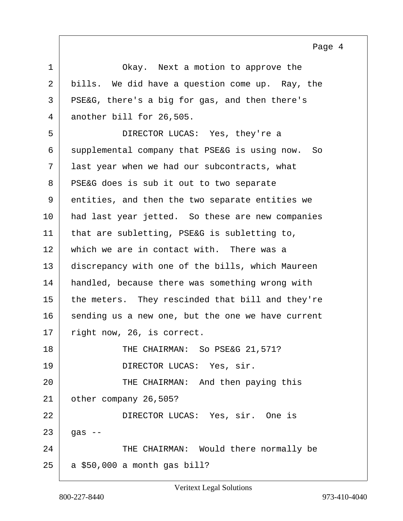<span id="page-3-0"></span>1 Okay. Next a motion to approve the 2 bills. We did have a question come up. Ray, the 3 PSE&G, there's a big for gas, and then there's 4 another bill for 26,505. 5 DIRECTOR LUCAS: Yes, they're a 6 supplemental company that PSE&G is using now. So 7 last year when we had our subcontracts, what 8 | PSE&G does is sub it out to two separate 9 entities, and then the two separate entities we 10 had last year jetted. So these are new companies  $11$  that are subletting, PSE&G is subletting to, 12 which we are in contact with. There was a 13 discrepancy with one of the bills, which Maureen 14 handled, because there was something wrong with 15 the meters. They rescinded that bill and they're 16 sending us a new one, but the one we have current 17 right now, 26, is correct. 18 THE CHAIRMAN: So PSE&G 21,571? 19 DIRECTOR LUCAS: Yes, sir. 20 THE CHAIRMAN: And then paying this 21 other company 26,505? 22 DIRECTOR LUCAS: Yes, sir. One is  $23$  gas  $-$ 24 THE CHAIRMAN: Would there normally be  $25$  a \$50,000 a month gas bill?

Page 4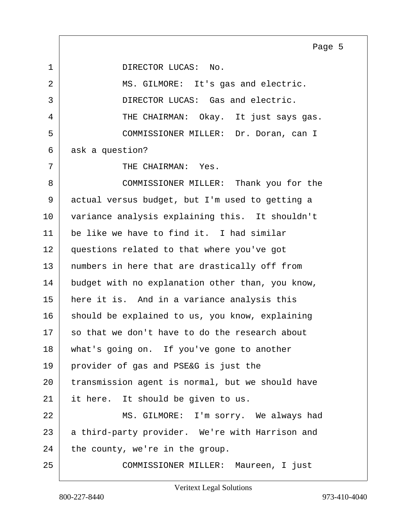<span id="page-4-0"></span>1 DIRECTOR LUCAS: No.

2 MS. GILMORE: It's gas and electric. 3 DIRECTOR LUCAS: Gas and electric. 4 THE CHAIRMAN: Okay. It just says gas. 5 COMMISSIONER MILLER: Dr. Doran, can I 6 ask a question?

 $7$  | THE CHAIRMAN: Yes.

8 COMMISSIONER MILLER: Thank you for the 9 actual versus budget, but I'm used to getting a 10 variance analysis explaining this. It shouldn't  $11$  be like we have to find it. I had similar 12 questions related to that where you've got 13 | numbers in here that are drastically off from 14 budget with no explanation other than, you know, 15 here it is. And in a variance analysis this 16 should be explained to us, you know, explaining  $17$  so that we don't have to do the research about 18 what's going on. If you've gone to another 19 provider of gas and PSE&G is just the 20 transmission agent is normal, but we should have 21 it here. It should be given to us.

22 MS. GILMORE: I'm sorry. We always had 23 a third-party provider. We're with Harrison and  $24$  the county, we're in the group.

25 COMMISSIONER MILLER: Maureen, I just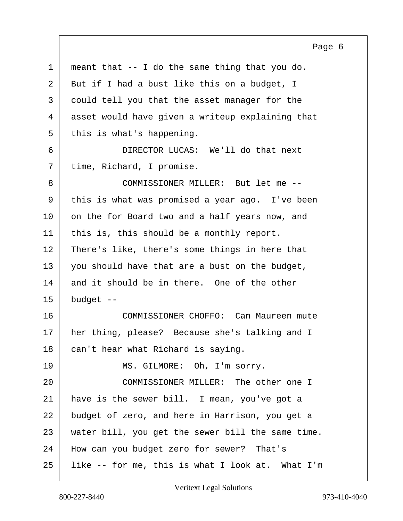<span id="page-5-0"></span>

| $\mathbf{1}$ | meant that -- I do the same thing that you do.    |
|--------------|---------------------------------------------------|
| 2            | But if I had a bust like this on a budget, I      |
| 3            | could tell you that the asset manager for the     |
| 4            | asset would have given a writeup explaining that  |
| 5            | this is what's happening.                         |
| 6            | DIRECTOR LUCAS: We'll do that next                |
| 7            | time, Richard, I promise.                         |
| 8            | COMMISSIONER MILLER: But let me --                |
| 9            | this is what was promised a year ago. I've been   |
| 10           | on the for Board two and a half years now, and    |
| 11           | this is, this should be a monthly report.         |
| 12           | There's like, there's some things in here that    |
| 13           | you should have that are a bust on the budget,    |
| 14           | and it should be in there. One of the other       |
| 15           | budget --                                         |
| 16           | COMMISSIONER CHOFFO: Can Maureen mute             |
| 17           | her thing, please? Because she's talking and I    |
| 18           | can't hear what Richard is saying.                |
| 19           | MS. GILMORE: Oh, I'm sorry.                       |
| 20           | COMMISSIONER MILLER: The other one I              |
| 21           | have is the sewer bill. I mean, you've got a      |
| 22           | budget of zero, and here in Harrison, you get a   |
| 23           | water bill, you get the sewer bill the same time. |
| 24           | How can you budget zero for sewer? That's         |
| 25           | like -- for me, this is what I look at. What I'm  |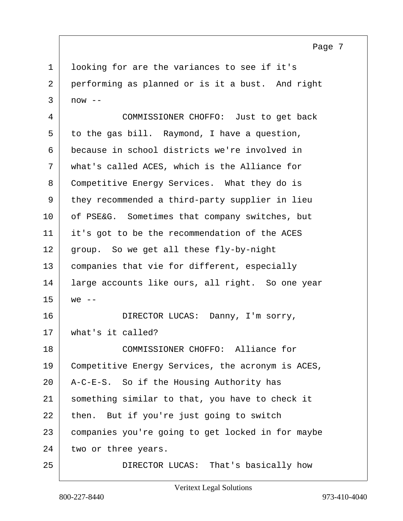<span id="page-6-0"></span>1 looking for are the variances to see if it's 2 performing as planned or is it a bust. And right  $3 \mid now --$ 

4 COMMISSIONER CHOFFO: Just to get back  $5$  to the gas bill. Raymond, I have a question, 6 because in school districts we're involved in 7 what's called ACES, which is the Alliance for 8 Competitive Energy Services. What they do is 9 they recommended a third-party supplier in lieu 10 of PSE&G. Sometimes that company switches, but 11 it's got to be the recommendation of the ACES 12 group. So we get all these fly-by-night 13 companies that vie for different, especially 14 large accounts like ours, all right. So one year  $15$  we  $-$ 16 DIRECTOR LUCAS: Danny, I'm sorry, 17 what's it called? 18 COMMISSIONER CHOFFO: Alliance for 19 Competitive Energy Services, the acronym is ACES, 20 A-C-E-S. So if the Housing Authority has 21 something similar to that, you have to check it  $22$  then. But if you're just going to switch 23 companies you're going to get locked in for maybe  $24$  two or three years. 25 DIRECTOR LUCAS: That's basically how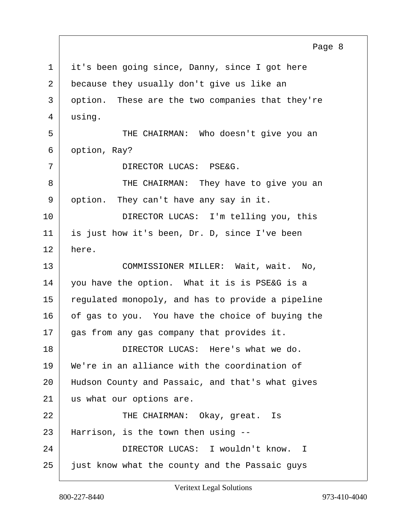<span id="page-7-0"></span>1 it's been going since, Danny, since I got here 2 because they usually don't give us like an 3 option. These are the two companies that they're 4 using. 5 THE CHAIRMAN: Who doesn't give you an 6 option, Ray? 7 DIRECTOR LUCAS: PSE&G. 8 THE CHAIRMAN: They have to give you an 9 option. They can't have any say in it. 10 DIRECTOR LUCAS: I'm telling you, this 11 is just how it's been, Dr. D, since I've been 12 here. 13 COMMISSIONER MILLER: Wait, wait. No, 14 you have the option. What it is is PSE&G is a 15 regulated monopoly, and has to provide a pipeline 16 of gas to you. You have the choice of buying the 17 gas from any gas company that provides it. 18 DIRECTOR LUCAS: Here's what we do. 19 We're in an alliance with the coordination of 20 Hudson County and Passaic, and that's what gives 21 us what our options are. 22 CHAIRMAN: Okay, great. Is 23 Harrison, is the town then using -- 24 DIRECTOR LUCAS: I wouldn't know. I 25 just know what the county and the Passaic guys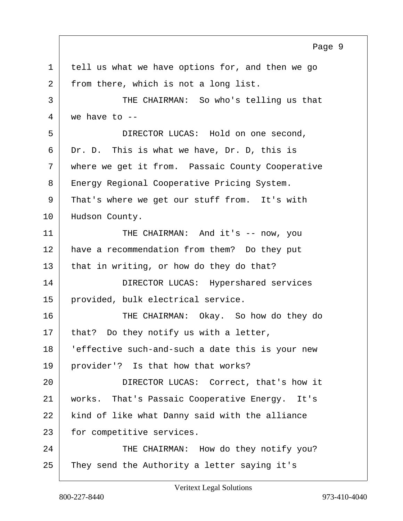<span id="page-8-0"></span>1 tell us what we have options for, and then we go 2 from there, which is not a long list. 3 THE CHAIRMAN: So who's telling us that  $4 \mid$  we have to  $-$ 5 DIRECTOR LUCAS: Hold on one second,  $6$  Dr. D. This is what we have, Dr. D, this is 7 where we get it from. Passaic County Cooperative 8 | Energy Regional Cooperative Pricing System. 9 That's where we get our stuff from. It's with 10 Hudson County. 11 THE CHAIRMAN: And it's -- now, you 12 have a recommendation from them? Do they put  $13$  that in writing, or how do they do that? 14 DIRECTOR LUCAS: Hypershared services 15 | provided, bulk electrical service. 16 THE CHAIRMAN: Okay. So how do they do  $17$  that? Do they notify us with a letter, 18 'effective such-and-such a date this is your new 19 provider'? Is that how that works? 20 DIRECTOR LUCAS: Correct, that's how it 21 works. That's Passaic Cooperative Energy. It's 22 | kind of like what Danny said with the alliance 23 for competitive services. 24 THE CHAIRMAN: How do they notify you? 25 They send the Authority a letter saying it's Page 9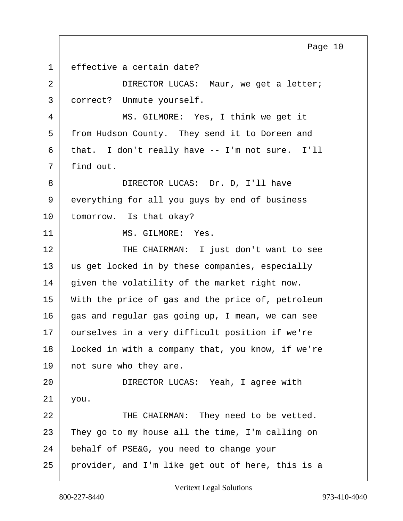<span id="page-9-0"></span>1 effective a certain date? 2 DIRECTOR LUCAS: Maur, we get a letter; 3 correct? Unmute yourself. 4 MS. GILMORE: Yes, I think we get it 5 from Hudson County. They send it to Doreen and 6 that. I don't really have -- I'm not sure. I'll 7 | find out. 8 DIRECTOR LUCAS: Dr. D, I'll have 9 everything for all you guys by end of business 10 tomorrow. Is that okay? 11 MS. GILMORE: Yes. 12 THE CHAIRMAN: I just don't want to see 13 us get locked in by these companies, especially 14 given the volatility of the market right now. 15 With the price of gas and the price of, petroleum 16 gas and regular gas going up, I mean, we can see 17 | ourselves in a very difficult position if we're 18 | locked in with a company that, you know, if we're 19 not sure who they are. 20 DIRECTOR LUCAS: Yeah, I agree with 21 you. 22 | THE CHAIRMAN: They need to be vetted.  $23$  They go to my house all the time, I'm calling on 24 behalf of PSE&G, you need to change your 25 provider, and I'm like get out of here, this is a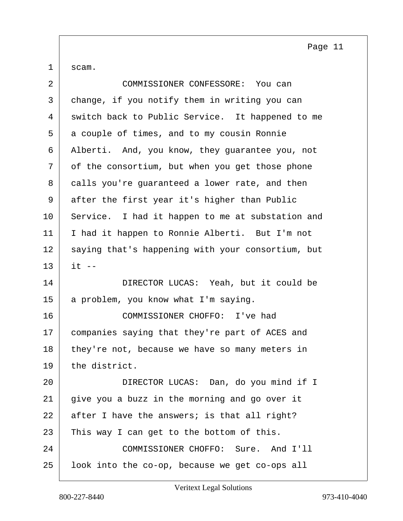<span id="page-10-0"></span> $1 \vert$  scam.

| $\overline{a}$ | COMMISSIONER CONFESSORE: You can                  |
|----------------|---------------------------------------------------|
| 3              | change, if you notify them in writing you can     |
| 4              | switch back to Public Service. It happened to me  |
| 5              | a couple of times, and to my cousin Ronnie        |
| 6              | Alberti. And, you know, they guarantee you, not   |
| 7              | of the consortium, but when you get those phone   |
| 8              | calls you're guaranteed a lower rate, and then    |
| 9              | after the first year it's higher than Public      |
| 10             | Service. I had it happen to me at substation and  |
| 11             | I had it happen to Ronnie Alberti. But I'm not    |
| 12             | saying that's happening with your consortium, but |
| 13             | $it$ $-$                                          |
| 14             | DIRECTOR LUCAS: Yeah, but it could be             |
| 15             | a problem, you know what I'm saying.              |
| 16             | COMMISSIONER CHOFFO: I've had                     |
| 17             | companies saying that they're part of ACES and    |
| 18             | they're not, because we have so many meters in    |
| 19             | the district.                                     |
| 20             | DIRECTOR LUCAS: Dan, do you mind if I             |
| 21             | give you a buzz in the morning and go over it     |
| 22             | after I have the answers; is that all right?      |
| 23             | This way I can get to the bottom of this.         |
| 24             | COMMISSIONER CHOFFO: Sure. And I'll               |
| 25             | look into the co-op, because we get co-ops all    |
|                |                                                   |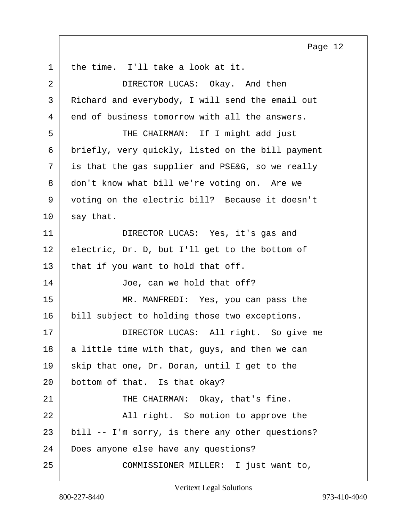<span id="page-11-0"></span>1 | the time. I'll take a look at it. 2 DIRECTOR LUCAS: Okay. And then 3 Richard and everybody, I will send the email out 4 end of business tomorrow with all the answers. 5 THE CHAIRMAN: If I might add just 6 briefly, very quickly, listed on the bill payment  $7$  is that the gas supplier and PSE&G, so we really 8 don't know what bill we're voting on. Are we 9 voting on the electric bill? Because it doesn't  $10$  say that. 11 DIRECTOR LUCAS: Yes, it's gas and 12 electric, Dr. D, but I'll get to the bottom of  $13$  that if you want to hold that off. 14 Joe, can we hold that off? 15 MR. MANFREDI: Yes, you can pass the 16 bill subject to holding those two exceptions. 17 DIRECTOR LUCAS: All right. So give me  $18$  a little time with that, guys, and then we can  $19$  skip that one, Dr. Doran, until I get to the 20 bottom of that. Is that okay? 21 THE CHAIRMAN: Okay, that's fine. 22 All right. So motion to approve the 23 bill -- I'm sorry, is there any other questions? 24 Does anyone else have any questions? 25 | COMMISSIONER MILLER: I just want to,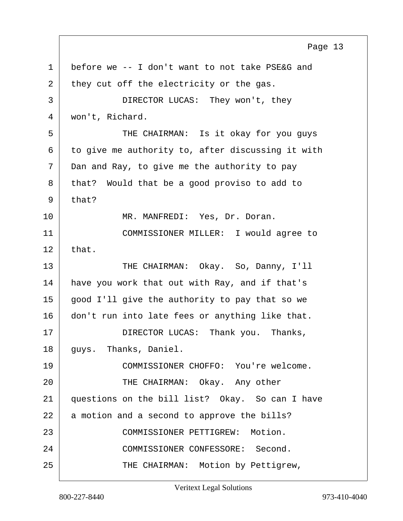<span id="page-12-0"></span>1 before we -- I don't want to not take PSE&G and  $2$  they cut off the electricity or the gas. 3 DIRECTOR LUCAS: They won't, they 4 won't, Richard. 5 THE CHAIRMAN: Is it okay for you guys  $6$  to give me authority to, after discussing it with 7 Dan and Ray, to give me the authority to pay 8 | that? Would that be a good proviso to add to  $9$  that? 10 MR. MANFREDI: Yes, Dr. Doran. 11 COMMISSIONER MILLER: I would agree to  $12$  that. 13 THE CHAIRMAN: Okay. So, Danny, I'll 14 have you work that out with Ray, and if that's 15 | good I'll give the authority to pay that so we 16 don't run into late fees or anything like that. 17 DIRECTOR LUCAS: Thank you. Thanks, 18 | guys. Thanks, Daniel. 19 | COMMISSIONER CHOFFO: You're welcome. 20 THE CHAIRMAN: Okay. Any other 21 questions on the bill list? Okay. So can I have  $22$  a motion and a second to approve the bills? 23 COMMISSIONER PETTIGREW: Motion. 24 COMMISSIONER CONFESSORE: Second. 25 THE CHAIRMAN: Motion by Pettigrew, Page 13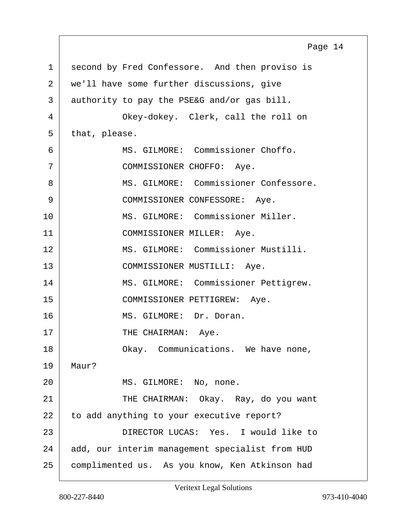<span id="page-13-0"></span>

|             | Page 14                                         |
|-------------|-------------------------------------------------|
| $\mathbf 1$ | second by Fred Confessore. And then proviso is  |
| 2           | we'll have some further discussions, give       |
| 3           | authority to pay the PSE&G and/or gas bill.     |
| 4           | Okey-dokey. Clerk, call the roll on             |
| 5           | that, please.                                   |
| 6           | MS. GILMORE: Commissioner Choffo.               |
| 7           | COMMISSIONER CHOFFO: Aye.                       |
| 8           | MS. GILMORE: Commissioner Confessore.           |
| 9           | COMMISSIONER CONFESSORE: Aye.                   |
| 10          | MS. GILMORE: Commissioner Miller.               |
| 11          | COMMISSIONER MILLER: Aye.                       |
| 12          | MS. GILMORE: Commissioner Mustilli.             |
| 13          | COMMISSIONER MUSTILLI: Aye.                     |
| 14          | MS. GILMORE: Commissioner Pettigrew.            |
| 15          | COMMISSIONER PETTIGREW: Aye.                    |
| 16          | MS. GILMORE: Dr. Doran.                         |
| $17$        | THE CHAIRMAN:<br>Aye.                           |
| 18          | Okay. Communications. We have none,             |
| 19          | Maur?                                           |
| 20          | MS. GILMORE: No, none.                          |
| 21          | THE CHAIRMAN: Okay. Ray, do you want            |
| 22          | to add anything to your executive report?       |
| 23          | DIRECTOR LUCAS: Yes. I would like to            |
| 24          | add, our interim management specialist from HUD |
| 25          | complimented us. As you know, Ken Atkinson had  |

 $\Gamma$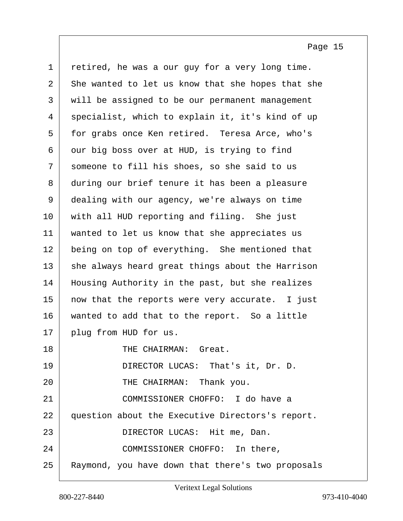<span id="page-14-0"></span>1 retired, he was a our guy for a very long time.  $2 \mid$  She wanted to let us know that she hopes that she 3 will be assigned to be our permanent management 4 specialist, which to explain it, it's kind of up 5 for grabs once Ken retired. Teresa Arce, who's  $6$  our big boss over at HUD, is trying to find 7 someone to fill his shoes, so she said to us 8 during our brief tenure it has been a pleasure 9 dealing with our agency, we're always on time 10 with all HUD reporting and filing. She just 11 | wanted to let us know that she appreciates us 12 being on top of everything. She mentioned that  $13$  she always heard great things about the Harrison 14 Housing Authority in the past, but she realizes 15 | now that the reports were very accurate. I just 16 | wanted to add that to the report. So a little 17 plug from HUD for us. 18 THE CHAIRMAN: Great. 19 DIRECTOR LUCAS: That's it, Dr. D. 20 THE CHAIRMAN: Thank you. 21 COMMISSIONER CHOFFO: I do have a 22 question about the Executive Directors's report. 23 DIRECTOR LUCAS: Hit me, Dan. 24 COMMISSIONER CHOFFO: In there, 25 Raymond, you have down that there's two proposals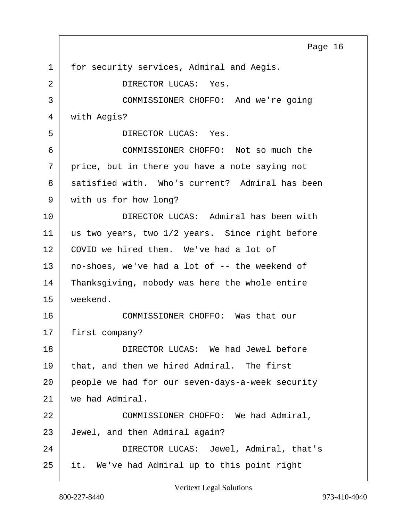<span id="page-15-0"></span>1 for security services, Admiral and Aegis. 2 DIRECTOR LUCAS: Yes. 3 COMMISSIONER CHOFFO: And we're going 4 with Aegis? 5 DIRECTOR LUCAS: Yes. 6 COMMISSIONER CHOFFO: Not so much the 7 price, but in there you have a note saying not 8 satisfied with. Who's current? Admiral has been 9 with us for how long? 10 DIRECTOR LUCAS: Admiral has been with 11 | us two years, two 1/2 years. Since right before 12 COVID we hired them. We've had a lot of 13 no-shoes, we've had a lot of -- the weekend of 14 Thanksgiving, nobody was here the whole entire 15 weekend. 16 COMMISSIONER CHOFFO: Was that our 17 | first company? 18 DIRECTOR LUCAS: We had Jewel before 19 that, and then we hired Admiral. The first 20 people we had for our seven-days-a-week security 21 we had Admiral. 22 COMMISSIONER CHOFFO: We had Admiral, 23 Jewel, and then Admiral again? 24 DIRECTOR LUCAS: Jewel, Admiral, that's 25 it. We've had Admiral up to this point right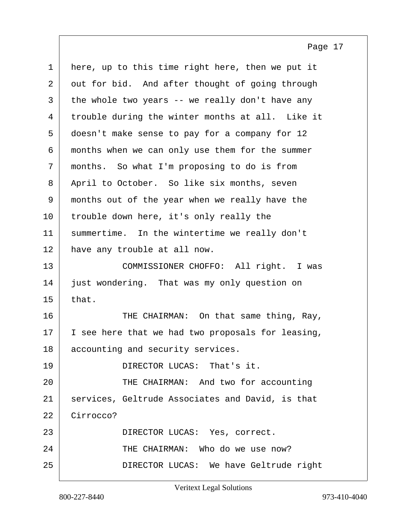<span id="page-16-0"></span>

| $\mathbf 1$    | here, up to this time right here, then we put it  |
|----------------|---------------------------------------------------|
| $\overline{a}$ | out for bid. And after thought of going through   |
| 3              | the whole two years -- we really don't have any   |
| 4              | trouble during the winter months at all. Like it  |
| 5              | doesn't make sense to pay for a company for 12    |
| 6              | months when we can only use them for the summer   |
| 7              | months. So what I'm proposing to do is from       |
| 8              | April to October. So like six months, seven       |
| 9              | months out of the year when we really have the    |
| 10             | trouble down here, it's only really the           |
| 11             | summertime. In the wintertime we really don't     |
| 12             | have any trouble at all now.                      |
| 13             | COMMISSIONER CHOFFO: All right. I was             |
| 14             | just wondering. That was my only question on      |
| 15             | that.                                             |
| 16             | THE CHAIRMAN: On that same thing, Ray,            |
| 17             | I see here that we had two proposals for leasing, |
| 18             | accounting and security services.                 |
| 19             | DIRECTOR LUCAS: That's it.                        |
| 20             | THE CHAIRMAN: And two for accounting              |
| 21             | services, Geltrude Associates and David, is that  |
| 22             | Cirrocco?                                         |
|                |                                                   |
| 23             | DIRECTOR LUCAS: Yes, correct.                     |
| 24             | THE CHAIRMAN: Who do we use now?                  |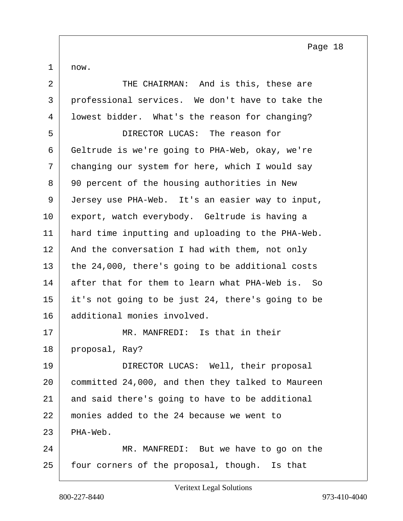<span id="page-17-0"></span> $1 \mid now.$ 

| $\overline{2}$ | THE CHAIRMAN: And is this, these are              |
|----------------|---------------------------------------------------|
| 3              | professional services. We don't have to take the  |
| 4              | lowest bidder. What's the reason for changing?    |
| 5              | DIRECTOR LUCAS: The reason for                    |
| 6              | Geltrude is we're going to PHA-Web, okay, we're   |
| 7              | changing our system for here, which I would say   |
| 8              | 90 percent of the housing authorities in New      |
| 9              | Jersey use PHA-Web. It's an easier way to input,  |
| 10             | export, watch everybody. Geltrude is having a     |
| 11             | hard time inputting and uploading to the PHA-Web. |
| 12             | And the conversation I had with them, not only    |
| 13             | the 24,000, there's going to be additional costs  |
| 14             | after that for them to learn what PHA-Web is. So  |
| 15             | it's not going to be just 24, there's going to be |
| 16             | additional monies involved.                       |
| 17             | MR. MANFREDI: Is that in their                    |
| 18             | proposal, Ray?                                    |
| 19             | DIRECTOR LUCAS: Well, their proposal              |
| 20             | committed 24,000, and then they talked to Maureen |
| 21             | and said there's going to have to be additional   |
| 22             | monies added to the 24 because we went to         |
| 23             | PHA-Web.                                          |
| 24             | MR. MANFREDI: But we have to go on the            |
| 25             | four corners of the proposal, though. Is that     |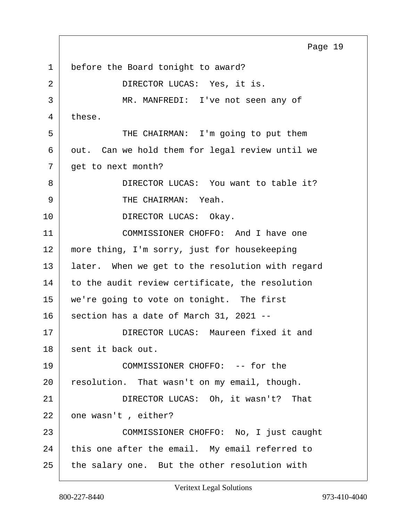<span id="page-18-0"></span>1 before the Board tonight to award? 2 DIRECTOR LUCAS: Yes, it is. 3 MR. MANFREDI: I've not seen any of 4 these. 5 THE CHAIRMAN: I'm going to put them  $6$  out. Can we hold them for legal review until we 7 get to next month? 8 | DIRECTOR LUCAS: You want to table it? 9 CHAIRMAN: Yeah. 10 DIRECTOR LUCAS: Okay. 11 COMMISSIONER CHOFFO: And I have one 12 more thing, I'm sorry, just for housekeeping 13 | later. When we get to the resolution with regard 14 to the audit review certificate, the resolution 15 | we're going to vote on tonight. The first  $16$  section has a date of March 31, 2021 --17 DIRECTOR LUCAS: Maureen fixed it and 18 sent it back out. 19 COMMISSIONER CHOFFO: -- for the 20 resolution. That wasn't on my email, though. 21 DIRECTOR LUCAS: Oh, it wasn't? That 22 one wasn't, either? 23 COMMISSIONER CHOFFO: No, I just caught  $24$  this one after the email. My email referred to 25 the salary one. But the other resolution with Page 19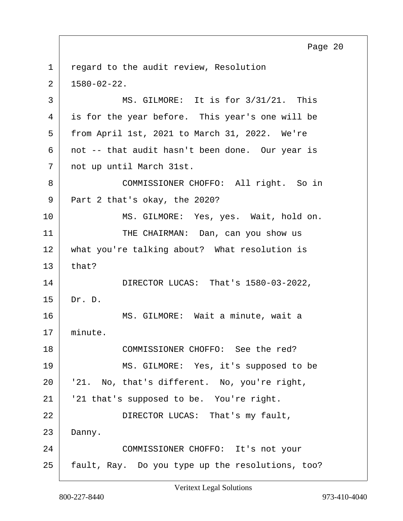<span id="page-19-0"></span>1 regard to the audit review, Resolution  $2 \mid 1580-02-22.$ 3 MS. GILMORE: It is for 3/31/21. This 4 is for the year before. This year's one will be 5 from April 1st, 2021 to March 31, 2022. We're  $6$  not -- that audit hasn't been done. Our year is 7 not up until March 31st. 8 COMMISSIONER CHOFFO: All right. So in 9 Part 2 that's okay, the 2020? 10 MS. GILMORE: Yes, yes. Wait, hold on. 11 THE CHAIRMAN: Dan, can you show us 12 what you're talking about? What resolution is  $13$  that? 14 DIRECTOR LUCAS: That's 1580-03-2022, 15 Dr. D. 16 | MS. GILMORE: Wait a minute, wait a 17 minute. 18 COMMISSIONER CHOFFO: See the red? 19 MS. GILMORE: Yes, it's supposed to be 20 | '21. No, that's different. No, you're right, 21 | '21 that's supposed to be. You're right. 22 DIRECTOR LUCAS: That's my fault, 23 Danny. 24 COMMISSIONER CHOFFO: It's not your

25 fault, Ray. Do you type up the resolutions, too?

Page 20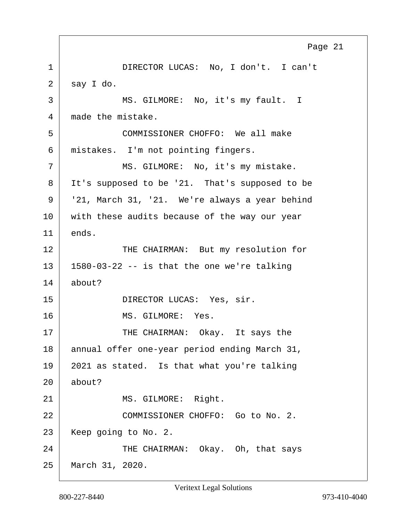<span id="page-20-0"></span>1 | DIRECTOR LUCAS: No, I don't. I can't  $2$  say I do. 3 | MS. GILMORE: No, it's my fault. I 4 made the mistake. 5 COMMISSIONER CHOFFO: We all make 6 mistakes. I'm not pointing fingers. 7 | MS. GILMORE: No, it's my mistake. 8 | It's supposed to be '21. That's supposed to be  $9$  | '21, March 31, '21. We're always a year behind 10 with these audits because of the way our year  $11$  ends. 12 THE CHAIRMAN: But my resolution for  $13$  | 1580-03-22 -- is that the one we're talking 14 about? 15 DIRECTOR LUCAS: Yes, sir. 16 MS. GILMORE: Yes. 17 THE CHAIRMAN: Okay. It says the 18 annual offer one-year period ending March 31,  $19$  2021 as stated. Is that what you're talking 20 about? 21 MS. GILMORE: Right. 22 COMMISSIONER CHOFFO: Go to No. 2. 23 Keep going to No. 2. 24 THE CHAIRMAN: Okay. Oh, that says 25 March 31, 2020.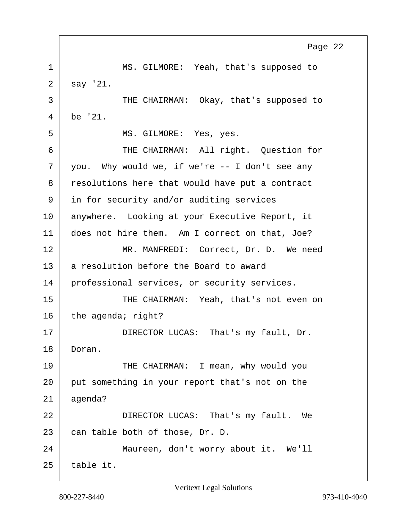<span id="page-21-0"></span>1 MS. GILMORE: Yeah, that's supposed to  $2 \mid$  say '21. 3 THE CHAIRMAN: Okay, that's supposed to  $4$  be '21. 5 | MS. GILMORE: Yes, yes. 6 THE CHAIRMAN: All right. Question for  $7$  you. Why would we, if we're -- I don't see any 8 resolutions here that would have put a contract 9 in for security and/or auditing services 10 anywhere. Looking at your Executive Report, it 11 does not hire them. Am I correct on that, Joe? 12 MR. MANFREDI: Correct, Dr. D. We need  $13$  a resolution before the Board to award 14 | professional services, or security services. 15 THE CHAIRMAN: Yeah, that's not even on  $16$  the agenda; right? 17 DIRECTOR LUCAS: That's my fault, Dr. 18 Doran. 19 THE CHAIRMAN: I mean, why would you 20 put something in your report that's not on the 21 agenda? 22 DIRECTOR LUCAS: That's my fault. We  $23$  can table both of those, Dr. D. 24 Maureen, don't worry about it. We'll  $25$  table it. Page 22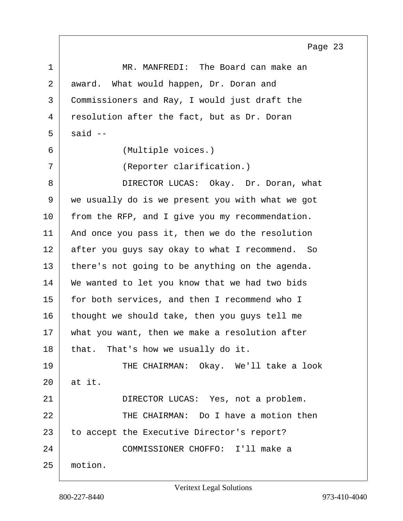<span id="page-22-0"></span>1 MR. MANFREDI: The Board can make an 2 award. What would happen, Dr. Doran and 3 Commissioners and Ray, I would just draft the 4 resolution after the fact, but as Dr. Doran  $5 \mid$  said  $-$ 6 (Multiple voices.) 7 (Reporter clarification.) 8 DIRECTOR LUCAS: Okay. Dr. Doran, what 9 we usually do is we present you with what we got 10 from the RFP, and I give you my recommendation. 11 | And once you pass it, then we do the resolution 12 after you guys say okay to what I recommend. So 13 there's not going to be anything on the agenda. 14 We wanted to let you know that we had two bids 15 for both services, and then I recommend who I  $16$  thought we should take, then you guys tell me 17 | what you want, then we make a resolution after  $18$  that. That's how we usually do it. 19 THE CHAIRMAN: Okay. We'll take a look 20 at it. 21 | DIRECTOR LUCAS: Yes, not a problem. 22 THE CHAIRMAN: Do I have a motion then 23 to accept the Executive Director's report? 24 COMMISSIONER CHOFFO: I'll make a 25 motion.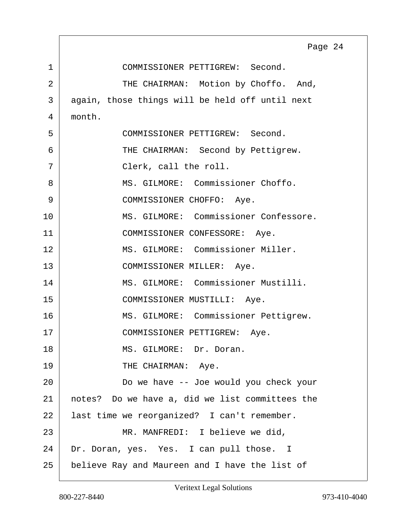<span id="page-23-0"></span>

|                | Page 24                                         |
|----------------|-------------------------------------------------|
| $\mathbf 1$    | COMMISSIONER PETTIGREW: Second.                 |
| $\overline{2}$ | THE CHAIRMAN: Motion by Choffo. And,            |
| 3              | again, those things will be held off until next |
| 4              | month.                                          |
| 5              | COMMISSIONER PETTIGREW: Second.                 |
| 6              | THE CHAIRMAN: Second by Pettigrew.              |
| 7              | Clerk, call the roll.                           |
| 8              | MS. GILMORE: Commissioner Choffo.               |
| 9              | COMMISSIONER CHOFFO: Aye.                       |
| 10             | MS. GILMORE: Commissioner Confessore.           |
| 11             | COMMISSIONER CONFESSORE: Aye.                   |
| 12             | MS. GILMORE: Commissioner Miller.               |
| 13             | COMMISSIONER MILLER: Aye.                       |
| 14             | MS. GILMORE: Commissioner Mustilli.             |
| 15             | COMMISSIONER MUSTILLI: Aye.                     |
| 16             | MS. GILMORE: Commissioner Pettigrew.            |
| 17             | COMMISSIONER PETTIGREW:<br>Aye.                 |
| 18             | MS. GILMORE: Dr. Doran.                         |
| 19             | THE CHAIRMAN: Aye.                              |
| 20             | Do we have -- Joe would you check your          |
| 21             | notes? Do we have a, did we list committees the |
| 22             | last time we reorganized? I can't remember.     |
| 23             | MR. MANFREDI: I believe we did,                 |
| 24             | Dr. Doran, yes. Yes. I can pull those. I        |
| 25             | believe Ray and Maureen and I have the list of  |

 $\Gamma$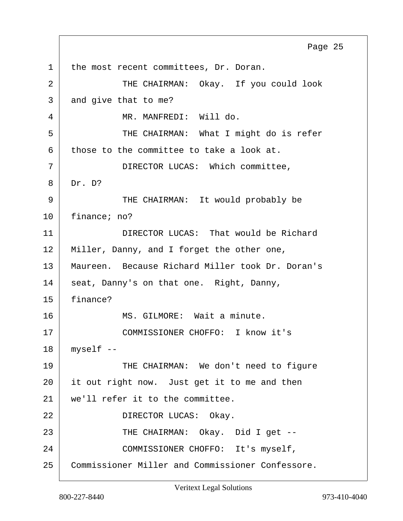<span id="page-24-0"></span>1 the most recent committees, Dr. Doran. 2 THE CHAIRMAN: Okay. If you could look  $3$  and give that to me? 4 | MR. MANFREDI: Will do. 5 THE CHAIRMAN: What I might do is refer  $6$  those to the committee to take a look at. 7 | DIRECTOR LUCAS: Which committee, 8 Dr. D? 9 THE CHAIRMAN: It would probably be 10 finance; no? 11 DIRECTOR LUCAS: That would be Richard 12 | Miller, Danny, and I forget the other one, 13 Maureen. Because Richard Miller took Dr. Doran's 14 seat, Danny's on that one. Right, Danny, 15 finance? 16 MS. GILMORE: Wait a minute. 17 | COMMISSIONER CHOFFO: I know it's  $18$  myself  $-$ 19 THE CHAIRMAN: We don't need to figure 20 it out right now. Just get it to me and then 21 we'll refer it to the committee. 22 DIRECTOR LUCAS: Okay. 23 | THE CHAIRMAN: Okay. Did I get --24 COMMISSIONER CHOFFO: It's myself, 25 Commissioner Miller and Commissioner Confessore. Page 25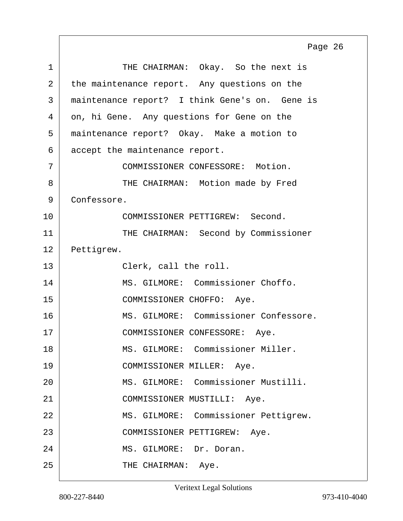<span id="page-25-0"></span>1 THE CHAIRMAN: Okay. So the next is 2 the maintenance report. Any questions on the 3 maintenance report? I think Gene's on. Gene is 4 on, hi Gene. Any questions for Gene on the 5 maintenance report? Okay. Make a motion to 6 accept the maintenance report. 7 COMMISSIONER CONFESSORE: Motion. 8 THE CHAIRMAN: Motion made by Fred 9 Confessore. 10 COMMISSIONER PETTIGREW: Second. 11 | THE CHAIRMAN: Second by Commissioner 12 Pettigrew. 13 Clerk, call the roll. 14 | MS. GILMORE: Commissioner Choffo. 15 COMMISSIONER CHOFFO: Aye. 16 MS. GILMORE: Commissioner Confessore. 17 | COMMISSIONER CONFESSORE: Aye. 18 MS. GILMORE: Commissioner Miller. 19 COMMISSIONER MILLER: Aye. 20 MS. GILMORE: Commissioner Mustilli. 21 COMMISSIONER MUSTILLI: Aye. 22 | MS. GILMORE: Commissioner Pettigrew. 23 COMMISSIONER PETTIGREW: Aye. 24 MS. GILMORE: Dr. Doran. 25 THE CHAIRMAN: Aye. Page 26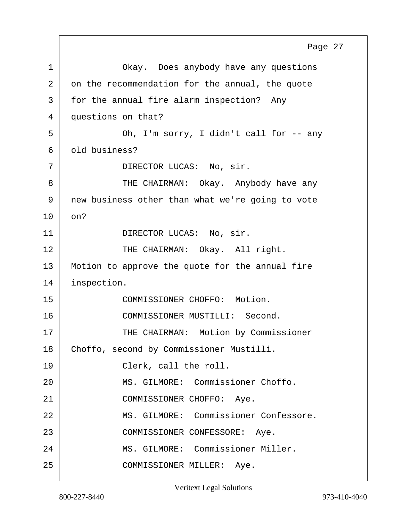<span id="page-26-0"></span>1 Okay. Does anybody have any questions 2 on the recommendation for the annual, the quote 3 for the annual fire alarm inspection? Any 4 questions on that? 5 Oh, I'm sorry, I didn't call for -- any 6 old business? 7 DIRECTOR LUCAS: No, sir. 8 THE CHAIRMAN: Okay. Anybody have any 9 new business other than what we're going to vote 10 on? 11 DIRECTOR LUCAS: No, sir. 12 THE CHAIRMAN: Okay. All right. 13 Motion to approve the quote for the annual fire 14 inspection. 15 COMMISSIONER CHOFFO: Motion. 16 COMMISSIONER MUSTILLI: Second. 17 | THE CHAIRMAN: Motion by Commissioner 18 | Choffo, second by Commissioner Mustilli. 19 Clerk, call the roll. 20 MS. GILMORE: Commissioner Choffo. 21 COMMISSIONER CHOFFO: Aye. 22 MS. GILMORE: Commissioner Confessore. 23 | COMMISSIONER CONFESSORE: Aye. 24 | MS. GILMORE: Commissioner Miller. 25 COMMISSIONER MILLER: Aye. Page 27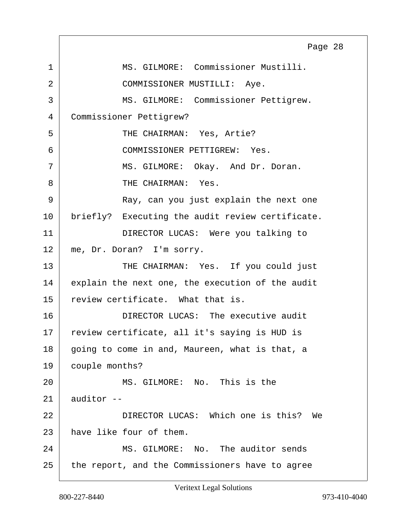<span id="page-27-0"></span>1 MS. GILMORE: Commissioner Mustilli. 2 COMMISSIONER MUSTILLI: Aye. 3 MS. GILMORE: Commissioner Pettigrew. 4 Commissioner Pettigrew? 5 SURFE CHAIRMAN: Yes, Artie? 6 COMMISSIONER PETTIGREW: Yes. 7 MS. GILMORE: Okay. And Dr. Doran. 8 THE CHAIRMAN: Yes. 9 Ray, can you just explain the next one 10 | briefly? Executing the audit review certificate. 11 DIRECTOR LUCAS: Were you talking to 12 | me, Dr. Doran? I'm sorry. 13 THE CHAIRMAN: Yes. If you could just 14 explain the next one, the execution of the audit 15 review certificate. What that is. 16 DIRECTOR LUCAS: The executive audit 17 | review certificate, all it's saying is HUD is 18 going to come in and, Maureen, what is that, a 19 couple months? 20 MS. GILMORE: No. This is the  $21$  auditor  $-$ 22 DIRECTOR LUCAS: Which one is this? We 23 have like four of them. 24 MS. GILMORE: No. The auditor sends 25 the report, and the Commissioners have to agree Page 28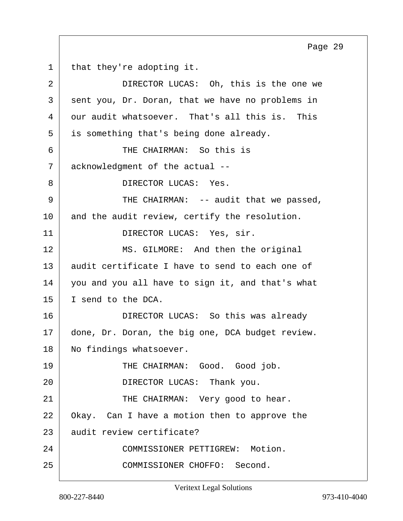<span id="page-28-0"></span>1 | that they're adopting it. 2 DIRECTOR LUCAS: Oh, this is the one we  $3$  sent you, Dr. Doran, that we have no problems in 4 our audit whatsoever. That's all this is. This 5 is something that's being done already. 6 THE CHAIRMAN: So this is 7 acknowledgment of the actual --8 DIRECTOR LUCAS: Yes. 9 THE CHAIRMAN: -- audit that we passed, 10 and the audit review, certify the resolution. 11 DIRECTOR LUCAS: Yes, sir. 12 MS. GILMORE: And then the original 13 audit certificate I have to send to each one of 14 you and you all have to sign it, and that's what 15 I send to the DCA. 16 DIRECTOR LUCAS: So this was already 17 done, Dr. Doran, the big one, DCA budget review. 18 | No findings whatsoever. 19 THE CHAIRMAN: Good. Good job. 20 DIRECTOR LUCAS: Thank you. 21 THE CHAIRMAN: Very good to hear. 22 Okay. Can I have a motion then to approve the 23 audit review certificate? 24 COMMISSIONER PETTIGREW: Motion. 25 COMMISSIONER CHOFFO: Second. Page 29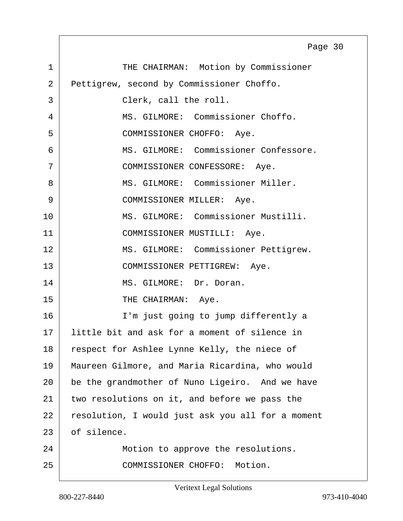<span id="page-29-0"></span>1 THE CHAIRMAN: Motion by Commissioner 2 Pettigrew, second by Commissioner Choffo. 3 Clerk, call the roll. 4 MS. GILMORE: Commissioner Choffo. 5 COMMISSIONER CHOFFO: Aye. 6 MS. GILMORE: Commissioner Confessore. 7 | COMMISSIONER CONFESSORE: Aye. 8 MS. GILMORE: Commissioner Miller. 9 | COMMISSIONER MILLER: Aye. 10 | MS. GILMORE: Commissioner Mustilli. 11 | COMMISSIONER MUSTILLI: Aye. 12 | MS. GILMORE: Commissioner Pettigrew. 13 COMMISSIONER PETTIGREW: Aye. 14 MS. GILMORE: Dr. Doran. 15 THE CHAIRMAN: Aye. 16 I'm just going to jump differently a 17 little bit and ask for a moment of silence in 18 respect for Ashlee Lynne Kelly, the niece of 19 Maureen Gilmore, and Maria Ricardina, who would 20 be the grandmother of Nuno Ligeiro. And we have 21 two resolutions on it, and before we pass the 22 resolution, I would just ask you all for a moment 23 of silence. 24 Motion to approve the resolutions. 25 COMMISSIONER CHOFFO: Motion. Page 30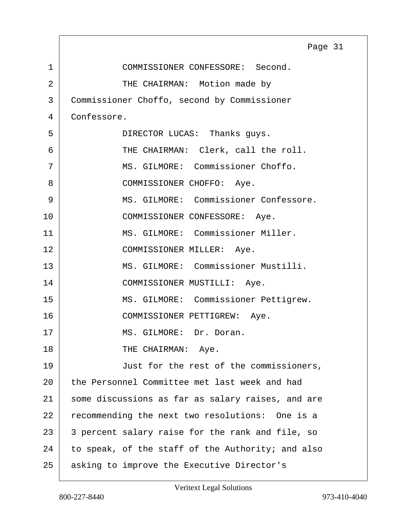<span id="page-30-0"></span>

|                | Page 31                                           |
|----------------|---------------------------------------------------|
| 1              | COMMISSIONER CONFESSORE: Second.                  |
| $\overline{2}$ | THE CHAIRMAN: Motion made by                      |
| 3              | Commissioner Choffo, second by Commissioner       |
| 4              | Confessore.                                       |
| 5              | DIRECTOR LUCAS: Thanks guys.                      |
| 6              | THE CHAIRMAN: Clerk, call the roll.               |
| 7              | MS. GILMORE: Commissioner Choffo.                 |
| 8              | COMMISSIONER CHOFFO: Aye.                         |
| 9              | MS. GILMORE: Commissioner Confessore.             |
| 10             | COMMISSIONER CONFESSORE: Aye.                     |
| 11             | MS. GILMORE: Commissioner Miller.                 |
| 12             | COMMISSIONER MILLER: Aye.                         |
| 13             | MS. GILMORE: Commissioner Mustilli.               |
| 14             | COMMISSIONER MUSTILLI: Aye.                       |
| 15             | MS. GILMORE: Commissioner Pettigrew.              |
| 16             | COMMISSIONER PETTIGREW: Aye.                      |
| 17             | MS. GILMORE: Dr. Doran.                           |
| 18             | THE CHAIRMAN: Aye.                                |
| 19             | Just for the rest of the commissioners,           |
| 20             | the Personnel Committee met last week and had     |
| 21             | some discussions as far as salary raises, and are |
| 22             | recommending the next two resolutions: One is a   |
| 23             | 3 percent salary raise for the rank and file, so  |
| 24             | to speak, of the staff of the Authority; and also |
| 25             | asking to improve the Executive Director's        |

Г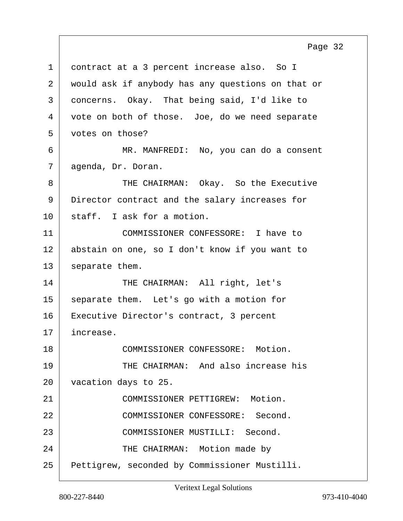<span id="page-31-0"></span>1 contract at a 3 percent increase also. So I 2 would ask if anybody has any questions on that or 3 concerns. Okay. That being said, I'd like to 4 vote on both of those. Joe, do we need separate 5 votes on those? 6 MR. MANFREDI: No, you can do a consent 7 agenda, Dr. Doran. 8 THE CHAIRMAN: Okay. So the Executive 9 Director contract and the salary increases for 10 staff. I ask for a motion. 11 COMMISSIONER CONFESSORE: I have to 12 abstain on one, so I don't know if you want to  $13$  separate them. 14 THE CHAIRMAN: All right, let's 15 | separate them. Let's go with a motion for 16 | Executive Director's contract, 3 percent 17 increase. 18 COMMISSIONER CONFESSORE: Motion. 19 THE CHAIRMAN: And also increase his 20 vacation days to 25. 21 COMMISSIONER PETTIGREW: Motion. 22 COMMISSIONER CONFESSORE: Second. 23 COMMISSIONER MUSTILLI: Second.

24 THE CHAIRMAN: Motion made by

25 Pettigrew, seconded by Commissioner Mustilli.

Page 32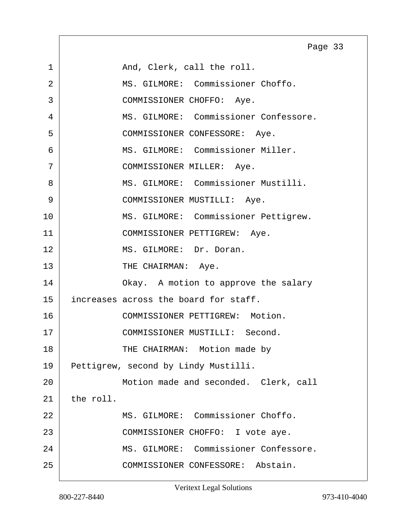<span id="page-32-0"></span>1 And, Clerk, call the roll. 2 MS. GILMORE: Commissioner Choffo. 3 COMMISSIONER CHOFFO: Aye. 4 MS. GILMORE: Commissioner Confessore. 5 COMMISSIONER CONFESSORE: Aye. 6 MS. GILMORE: Commissioner Miller. 7 | COMMISSIONER MILLER: Aye. 8 MS. GILMORE: Commissioner Mustilli. 9 | COMMISSIONER MUSTILLI: Aye. 10 | MS. GILMORE: Commissioner Pettigrew. 11 | COMMISSIONER PETTIGREW: Aye. 12 MS. GILMORE: Dr. Doran. 13 THE CHAIRMAN: Aye. 14 Okay. A motion to approve the salary 15 increases across the board for staff. 16 COMMISSIONER PETTIGREW: Motion. 17 COMMISSIONER MUSTILLI: Second. 18 | THE CHAIRMAN: Motion made by 19 Pettigrew, second by Lindy Mustilli. 20 Motion made and seconded. Clerk, call  $21$  the roll. 22 MS. GILMORE: Commissioner Choffo. 23 | COMMISSIONER CHOFFO: I vote aye. 24 MS. GILMORE: Commissioner Confessore. 25 COMMISSIONER CONFESSORE: Abstain. Page 33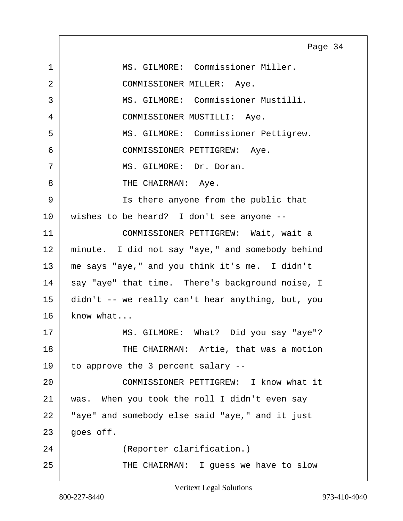<span id="page-33-0"></span>1 MS. GILMORE: Commissioner Miller. 2 COMMISSIONER MILLER: Aye. 3 MS. GILMORE: Commissioner Mustilli. 4 COMMISSIONER MUSTILLI: Aye. 5 MS. GILMORE: Commissioner Pettigrew. 6 COMMISSIONER PETTIGREW: Aye. 7 MS. GILMORE: Dr. Doran. 8 CHAIRMAN: Aye. 9 | Ts there anyone from the public that 10 wishes to be heard? I don't see anyone -- 11 COMMISSIONER PETTIGREW: Wait, wait a 12 | minute. I did not say "aye," and somebody behind 13 me says "aye," and you think it's me. I didn't 14 | say "aye" that time. There's background noise, I 15 didn't -- we really can't hear anything, but, you  $16$  know what... 17 MS. GILMORE: What? Did you say "aye"? 18 THE CHAIRMAN: Artie, that was a motion 19 to approve the 3 percent salary -- 20 COMMISSIONER PETTIGREW: I know what it 21 was. When you took the roll I didn't even say 22 | "aye" and somebody else said "aye," and it just  $23$  goes off. 24 (Reporter clarification.) 25 THE CHAIRMAN: I guess we have to slow Page 34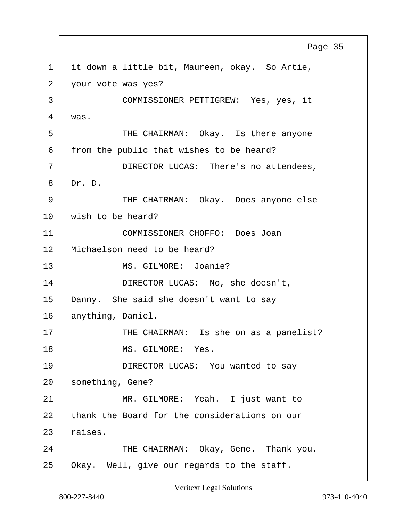<span id="page-34-0"></span>1 it down a little bit, Maureen, okay. So Artie, 2 vour vote was yes? 3 COMMISSIONER PETTIGREW: Yes, yes, it 4 was. 5 THE CHAIRMAN: Okay. Is there anyone  $6$  from the public that wishes to be heard? 7 DIRECTOR LUCAS: There's no attendees, 8 Dr. D. 9 THE CHAIRMAN: Okay. Does anyone else 10 wish to be heard? 11 COMMISSIONER CHOFFO: Does Joan 12 Michaelson need to be heard? 13 MS. GILMORE: Joanie? 14 DIRECTOR LUCAS: No, she doesn't, 15 Danny. She said she doesn't want to say 16 | anything, Daniel. 17 THE CHAIRMAN: Is she on as a panelist? 18 MS. GILMORE: Yes. 19 DIRECTOR LUCAS: You wanted to say 20 | something, Gene? 21 MR. GILMORE: Yeah. I just want to 22 thank the Board for the considerations on our  $23$  raises. 24 THE CHAIRMAN: Okay, Gene. Thank you. 25 Okay. Well, give our regards to the staff. Page 35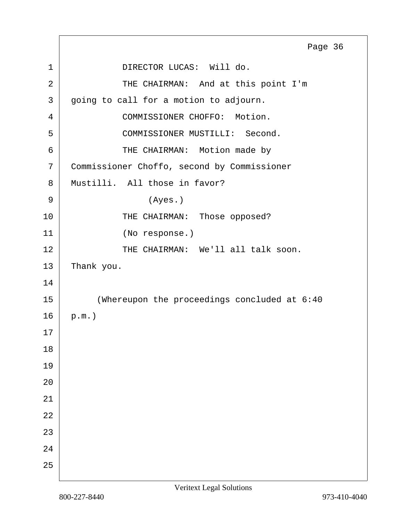<span id="page-35-0"></span>1 DIRECTOR LUCAS: Will do. 2 THE CHAIRMAN: And at this point I'm 3 going to call for a motion to adjourn. 4 COMMISSIONER CHOFFO: Motion. 5 COMMISSIONER MUSTILLI: Second. 6 THE CHAIRMAN: Motion made by 7 Commissioner Choffo, second by Commissioner 8 Mustilli. All those in favor?  $9 \mid$  (Ayes.) 10 THE CHAIRMAN: Those opposed? 11 (No response.) 12 THE CHAIRMAN: We'll all talk soon.  $13$  Thank you. 14 15 (Whereupon the proceedings concluded at 6:40  $16$  p.m.) 17 18 19 20 21 22 23 24 25 Page 36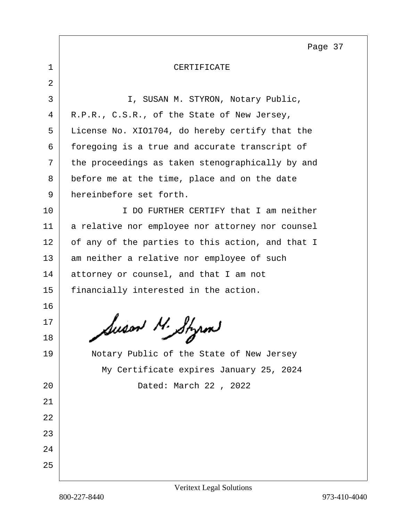<span id="page-36-0"></span>

| CERTIFICATE |
|-------------|
|             |

2 3 | I, SUSAN M. STYRON, Notary Public, 4 R.P.R., C.S.R., of the State of New Jersey, 5 License No. XIO1704, do hereby certify that the 6 foregoing is a true and accurate transcript of  $7$  the proceedings as taken stenographically by and 8 before me at the time, place and on the date 9 hereinbefore set forth. 10 I DO FURTHER CERTIFY that I am neither 11 | a relative nor employee nor attorney nor counsel  $12$  of any of the parties to this action, and that I 13 am neither a relative nor employee of such 14 attorney or counsel, and that I am not 15 | financially interested in the action. 16 17  $\mathcal{L}_{18}$  Auson M. Styrm 19 | Notary Public of the State of New Jersey My Certificate expires January 25, 2024 20 Dated: March 22 , 2022 21 22 23 24 25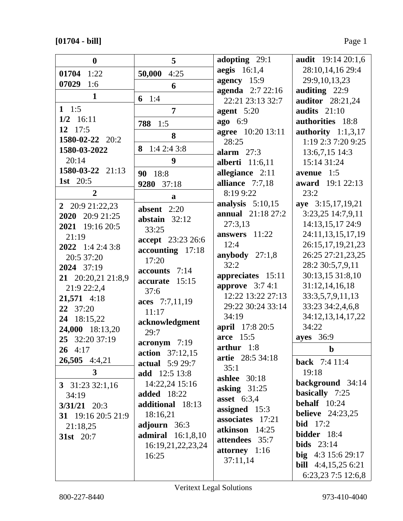# **[01704 - bill]** Page 1

| $\boldsymbol{0}$                | 5                        | adopting 29:1                    | <b>audit</b> 19:14 20:1,6  |
|---------------------------------|--------------------------|----------------------------------|----------------------------|
| 01704 1:22                      | 50,000<br>4:25           | aegis $16:1,4$                   | 28:10,14,16 29:4           |
| 07029<br>1:6                    | 6                        | agency 15:9                      | 29:9,10,13,23              |
| 1                               |                          | agenda 2:7 22:16                 | auditing 22:9              |
|                                 | 6 $1:4$                  | 22:21 23:13 32:7                 | auditor 28:21,24           |
| 1 1:5                           | 7                        | agent $5:20$                     | audits $21:10$             |
| $1/2$ 16:11                     | 1:5<br>788               | <b>ago</b> 6:9                   | authorities 18:8           |
| 12 $17:5$                       | 8                        | <b>agree</b> 10:20 13:11         | authority $1:1,3,17$       |
| 1580-02-22 20:2<br>1580-03-2022 | 1:42:43:8<br>8           | 28:25                            | 1:19 2:3 7:20 9:25         |
| 20:14                           | 9                        | alarm $27:3$                     | 13:6,7,15 14:3             |
| 1580-03-22 21:13                |                          | <b>alberti</b> 11:6,11           | 15:14 31:24                |
| 1st 20:5                        | 90 18:8                  | allegiance 2:11                  | avenue 1:5                 |
|                                 | 9280 37:18               | alliance 7:7,18                  | award 19:1 22:13           |
| $\overline{2}$                  | a                        | 8:19 9:22                        | 23:2                       |
| 2 20:9 21:22,23                 | absent $2:20$            | analysis $5:10,15$               | aye 3:15,17,19,21          |
| 2020 20:9 21:25                 | abstain $32:12$          | <b>annual</b> 21:18 27:2         | 3:23,25 14:7,9,11          |
| 2021 19:16 20:5                 | 33:25                    | 27:3,13                          | 14:13,15,17 24:9           |
| 21:19                           | accept 23:23 26:6        | answers 11:22                    | 24:11,13,15,17,19          |
| 2022 1:4 2:4 3:8                | accounting 17:18         | 12:4                             | 26:15,17,19,21,23          |
| 20:5 37:20                      | 17:20                    | anybody $27:1,8$                 | 26:25 27:21,23,25          |
| 2024 37:19                      | accounts 7:14            | 32:2                             | 28:2 30:5,7,9,11           |
| 21 20:20,21 21:8,9              | accurate 15:15           | appreciates 15:11                | 30:13,15 31:8,10           |
| 21:9 22:2,4                     | 37:6                     | approve $3:74:1$                 | 31:12,14,16,18             |
| 21,571 4:18                     | aces 7:7,11,19           | 12:22 13:22 27:13                | 33:3,5,7,9,11,13           |
| 22 37:20                        | 11:17                    | 29:22 30:24 33:14                | 33:23 34:2,4,6,8           |
| 24 18:15,22                     | acknowledgment           | 34:19                            | 34:12,13,14,17,22          |
| 24,000 18:13,20                 | 29:7                     | april 17:8 20:5                  | 34:22                      |
| 25 32:20 37:19                  | acronym 7:19             | arce 15:5                        | ayes 36:9                  |
| $26 \quad 4:17$                 | <b>action</b> 37:12,15   | arthur $1:8$<br>artie 28:5 34:18 | $\mathbf b$                |
| 26,505 4:4,21                   | <b>actual</b> $5:929:7$  | 35:1                             | <b>back</b> 7:4 11:4       |
| $\mathbf{3}$                    | <b>add</b> 12:5 13:8     | ashlee $30:18$                   | 19:18                      |
| 3 $31:233:21,16$                | 14:22,24 15:16           | asking $31:25$                   | background 34:14           |
| 34:19                           | <b>added</b> 18:22       | asset $6:3,4$                    | basically 7:25             |
| $3/31/21$ 20:3                  | additional 18:13         | assigned 15:3                    | behalf $10:24$             |
| 31 19:16 20:5 21:9              | 18:16,21                 | associates 17:21                 | <b>believe</b> 24:23,25    |
| 21:18,25                        | adjourn 36:3             | atkinson 14:25                   | <b>bid</b> $17:2$          |
| <b>31st</b> 20:7                | <b>admiral</b> 16:1,8,10 | attendees 35:7                   | bidder 18:4                |
|                                 | 16:19,21,22,23,24        | attorney 1:16                    | bids $23:14$               |
|                                 | 16:25                    | 37:11,14                         | big $4:3 15:6 29:17$       |
|                                 |                          |                                  | <b>bill</b> 4:4,15,25 6:21 |
|                                 |                          |                                  | 6:23,23 7:5 12:6,8         |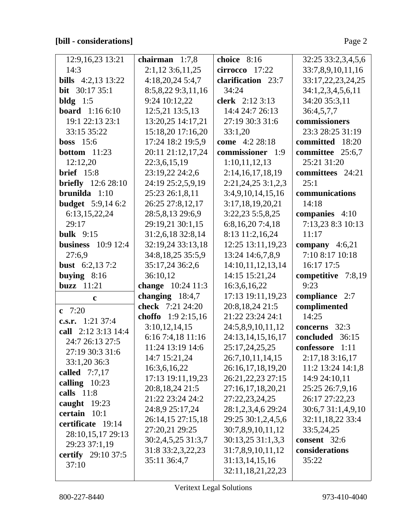# **[bill - considerations]** Page 2

| 12:9,16,23 13:21          | chairman $1:7,8$     | choice 8:16          | 32:25 33:2,3,4,5,6 |
|---------------------------|----------------------|----------------------|--------------------|
| 14:3                      |                      |                      |                    |
|                           | $2:1,12$ 3:6,11,25   | $cirrocco$ 17:22     | 33:7,8,9,10,11,16  |
| <b>bills</b> 4:2,13 13:22 | 4:18,20,245:4,7      | clarification 23:7   | 33:17,22,23,24,25  |
| <b>bit</b> $30:1735:1$    | 8:5,8,22 9:3,11,16   | 34:24                | 34:1,2,3,4,5,6,11  |
| bldg $1:5$                | 9:24 10:12,22        | clerk 2:12 3:13      | 34:20 35:3,11      |
| <b>board</b> 1:16 6:10    | 12:5,21 13:5,13      | 14:4 24:7 26:13      | 36:4,5,7,7         |
| 19:1 22:13 23:1           | 13:20,25 14:17,21    | 27:19 30:3 31:6      | commissioners      |
| 33:15 35:22               | 15:18,20 17:16,20    | 33:1,20              | 23:3 28:25 31:19   |
| <b>boss</b> $15:6$        | 17:24 18:2 19:5,9    | come 4:2 28:18       | committed 18:20    |
| <b>bottom</b> $11:23$     | 20:11 21:12,17,24    | commissioner 1:9     | committee 25:6,7   |
| 12:12,20                  | 22:3,6,15,19         | 1:10,11,12,13        | 25:21 31:20        |
| <b>brief</b> 15:8         | 23:19,22 24:2,6      | 2:14,16,17,18,19     | committees 24:21   |
| <b>briefly</b> 12:6 28:10 | 24:19 25:2,5,9,19    | $2:21,24,25$ 3:1,2,3 | 25:1               |
| brunilda $1:10$           | 25:23 26:1,8,11      | 3:4,9,10,14,15,16    | communications     |
| <b>budget</b> 5:9,14 6:2  | 26:25 27:8,12,17     | 3:17,18,19,20,21     | 14:18              |
| 6:13,15,22,24             | 28:5,8,13 29:6,9     | 3:22,23 5:5,8,25     | companies 4:10     |
| 29:17                     | 29:19,21 30:1,15     | 6:8,16,20 7:4,18     | 7:13,23 8:3 10:13  |
| <b>bulk</b> 9:15          | 31:2,6,18 32:8,14    | 8:13 11:2,16,24      | 11:17              |
| <b>business</b> 10:9 12:4 | 32:19,24 33:13,18    | 12:25 13:11,19,23    | company $4:6,21$   |
| 27:6,9                    | 34:8, 18, 25 35:5, 9 | 13:24 14:6,7,8,9     | 7:10 8:17 10:18    |
| <b>bust</b> $6:2,137:2$   | 35:17,24 36:2,6      | 14:10,11,12,13,14    | 16:17 17:5         |
| buying $8:16$             | 36:10,12             | 14:15 15:21,24       | competitive 7:8,19 |
| <b>buzz</b> 11:21         | change 10:24 11:3    | 16:3,6,16,22         | 9:23               |
| $\mathbf c$               | changing 18:4,7      | 17:13 19:11,19,23    | compliance 2:7     |
| c $7:20$                  | check 7:21 24:20     | 20:8,18,24 21:5      | complimented       |
|                           | choffo $1:92:15,16$  | 21:22 23:24 24:1     | 14:25              |
| c.s.r. $1:21\,37:4$       | 3:10,12,14,15        | 24:5,8,9,10,11,12    | concerns 32:3      |
| call 2:12 3:13 14:4       | 6:16 7:4,18 11:16    | 24:13,14,15,16,17    | concluded 36:15    |
| 24:7 26:13 27:5           | 11:24 13:19 14:6     | 25:17,24,25,25       | confessore 1:11    |
| 27:19 30:3 31:6           | 14:7 15:21,24        | 26:7, 10, 11, 14, 15 | 2:17,183:16,17     |
| 33:1,20 36:3              | 16:3,6,16,22         | 26:16,17,18,19,20    | 11:2 13:24 14:1,8  |
| called 7:7,17             | 17:13 19:11,19,23    | 26:21, 22, 23 27:15  | 14:9 24:10,11      |
| calling $10:23$           | 20:8,18,24 21:5      | 27:16,17,18,20,21    | 25:25 26:7,9,16    |
| calls $11:8$              | 21:22 23:24 24:2     | 27:22,23,24,25       | 26:17 27:22,23     |
| caught 19:23              | 24:8,9 25:17,24      | 28:1,2,3,4,6 29:24   | 30:6,7 31:1,4,9,10 |
| certain $10:1$            | 26:14,15 27:15,18    | 29:25 30:1,2,4,5,6   | 32:11,18,22 33:4   |
| certificate 19:14         | 27:20,21 29:25       | 30:7,8,9,10,11,12    | 33:5,24,25         |
| 28:10,15,17 29:13         | 30:2,4,5,25 31:3,7   | 30:13,25 31:1,3,3    | consent 32:6       |
| 29:23 37:1,19             | 31:8 33:2,3,22,23    | 31:7,8,9,10,11,12    | considerations     |
| <b>certify</b> 29:10 37:5 | 35:11 36:4,7         | 31:13,14,15,16       | 35:22              |
| 37:10                     |                      | 32:11,18,21,22,23    |                    |
|                           |                      |                      |                    |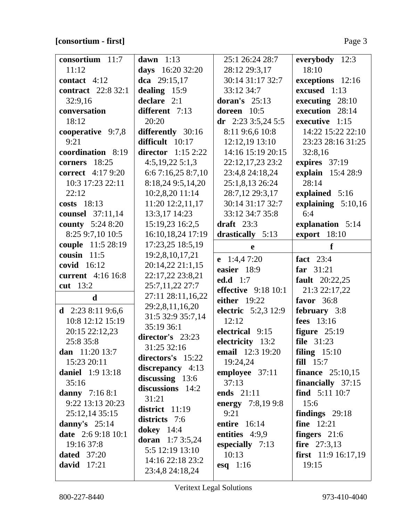# **[consortium - first]** Page 3

| consortium 11:7           | dawn $1:13$             | 25:1 26:24 28:7       | everybody 12:3               |
|---------------------------|-------------------------|-----------------------|------------------------------|
| 11:12                     | days 16:20 32:20        | 28:12 29:3,17         | 18:10                        |
| contact $4:12$            | dca $29:15,17$          | 30:14 31:17 32:7      | exceptions 12:16             |
| <b>contract</b> 22:8 32:1 | dealing 15:9            | 33:12 34:7            | excused 1:13                 |
| 32:9,16                   | declare $2:1$           | doran's $25:13$       | executing 28:10              |
| conversation              | different 7:13          | doreen 10:5           | execution 28:14              |
| 18:12                     | 20:20                   | dr $2:233:5,245:5$    | executive 1:15               |
| cooperative 9:7,8         | differently 30:16       | 8:11 9:6,6 10:8       | 14:22 15:22 22:10            |
| 9:21                      | difficult 10:17         | 12:12,19 13:10        | 23:23 28:16 31:25            |
| coordination 8:19         | director $1:152:22$     | 14:16 15:19 20:15     | 32:8,16                      |
| 18:25<br>corners          | 4:5,19,225:1,3          | 22:12,17,23 23:2      | expires 37:19                |
| <b>correct</b> 4:17 9:20  | 6:6 7:16,25 8:7,10      | 23:4,8 24:18,24       | explain 15:4 28:9            |
| 10:3 17:23 22:11          | 8:18,24 9:5,14,20       | 25:1,8,13 26:24       | 28:14                        |
| 22:12                     | 10:2,8,20 11:14         | 28:7,12 29:3,17       | explained 5:16               |
| costs 18:13               | 11:20 12:2,11,17        | 30:14 31:17 32:7      | explaining $5:10,16$         |
| <b>counsel</b> 37:11,14   | 13:3,17 14:23           | 33:12 34:7 35:8       | 6:4                          |
| <b>county</b> 5:24 8:20   | 15:19,23 16:2,5         | draft $23:3$          | explanation 5:14             |
| 8:25 9:7,10 10:5          | 16:10,18,24 17:19       | drastically 5:13      | export 18:10                 |
| couple 11:5 28:19         | 17:23,25 18:5,19        | e                     | f                            |
| cousin $11:5$             | 19:2,8,10,17,21         | e $1:4,47:20$         | fact $23:4$                  |
| covid 16:12               | 20:14,22 21:1,15        | easier 18:9           | $far$ 31:21                  |
| current 4:16 16:8         | 22:17,22 23:8,21        | <b>ed.d</b> 1:7       | <b>fault</b> 20:22,25        |
| cut 13:2                  | 25:7,11,22 27:7         | effective $9:18$ 10:1 | 21:3 22:17,22                |
| d                         | 27:11 28:11,16,22       | either $19:22$        | favor $36:8$                 |
| d $2:238:119:6,6$         | 29:2,8,11,16,20         | electric 5:2,3 12:9   | february 3:8                 |
| 10:8 12:12 15:19          | 31:5 32:9 35:7,14       | 12:12                 | fees 13:16                   |
| 20:15 22:12,23            | 35:19 36:1              | electrical 9:15       | figure $25:19$               |
| 25:8 35:8                 | director's 23:23        | electricity 13:2      | file 31:23                   |
| dan $11:20$ 13:7          | 31:25 32:16             | email 12:3 19:20      | filing $15:10$               |
| 15:23 20:11               | directors's 15:22       | 19:24,24              | fill 15:7                    |
| <b>daniel</b> 1:9 13:18   | discrepancy 4:13        | employee 37:11        | finance $25:10,15$           |
| 35:16                     | $discussing$ 13:6       | 37:13                 | financially $37:15$          |
| danny $7:168:1$           | discussions 14:2        | ends 21:11            | find $5:11\,10:7$            |
| 9:22 13:13 20:23          | 31:21                   | energy $7:8,199:8$    | 15:6                         |
| 25:12,14 35:15            | district $11:19$        | 9:21                  | findings $29:18$             |
| danny's $25:14$           | districts 7:6           | entire $16:14$        | <b>fine</b> 12:21            |
| <b>date</b> 2:6 9:18 10:1 | dokey $14:4$            | entities $4:9,9$      | fingers $21:6$               |
| 19:16 37:8                | <b>doran</b> 1:7 3:5,24 | especially $7:13$     | fire $27:3,13$               |
| <b>dated</b> 37:20        | 5:5 12:19 13:10         | 10:13                 | <b>first</b> $11:9 16:17,19$ |
| david 17:21               | 14:16 22:18 23:2        | esq $1:16$            | 19:15                        |
|                           | 23:4,8 24:18,24         |                       |                              |

 $\overline{\phantom{a}}$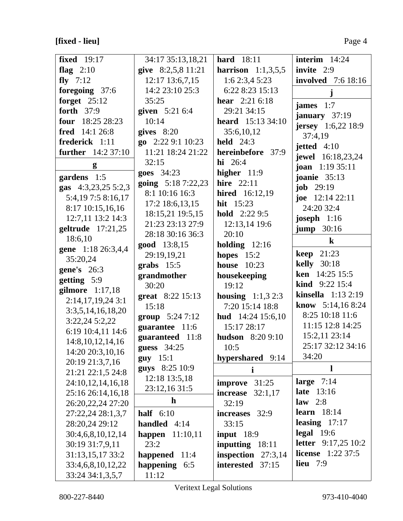# **[fixed - lieu]** Page 4

| <b>fixed</b> 19:17                     | 34:17 35:13,18,21   | <b>hard</b> 18:11            | interim $14:24$                              |
|----------------------------------------|---------------------|------------------------------|----------------------------------------------|
| flag $2:10$                            | give 8:2,5,8 11:21  | <b>harrison</b> $1:1,3,5,5$  | invite 2:9                                   |
| fly $7:12$                             | 12:17 13:6,7,15     | 1:62:3,45:23                 | <b>involved</b> 7:6 18:16                    |
| foregoing 37:6                         | 14:2 23:10 25:3     | 6:22 8:23 15:13              |                                              |
| forget $25:12$                         | 35:25               | <b>hear</b> $2:216:18$       | james $1:7$                                  |
| forth 37:9                             | given 5:21 6:4      | 29:21 34:15                  |                                              |
| four 18:25 28:23                       | 10:14               | <b>heard</b> $15:13\,34:10$  | january $37:19$<br><b>jersey</b> 1:6,22 18:9 |
| fred 14:1 26:8                         | gives $8:20$        | 35:6,10,12                   | 37:4,19                                      |
| frederick 1:11                         | go 2:22 9:1 10:23   | held $24:3$                  |                                              |
| <b>further</b> 14:2 37:10              | 11:21 18:24 21:22   | hereinbefore 37:9            | jetted $4:10$                                |
| g                                      | 32:15               | $hi 26:4$                    | jewel 16:18,23,24<br><b>joan</b> $1:1935:11$ |
| gardens 1:5                            | goes 34:23          | higher $11:9$                | <b>joanie</b> 35:13                          |
| gas 4:3,23,25 5:2,3                    | going $5:187:22,23$ | <b>hire</b> 22:11            | <b>job</b> $29:19$                           |
| 5:4, 19 7:5 8:16, 17                   | 8:1 10:16 16:3      | <b>hired</b> 16:12,19        | joe $12:1422:11$                             |
|                                        | 17:2 18:6, 13, 15   | hit 15:23                    | 24:20 32:4                                   |
| 8:17 10:15,16,16<br>12:7,11 13:2 14:3  | 18:15,21 19:5,15    | <b>hold</b> $2:229:5$        |                                              |
|                                        | 21:23 23:13 27:9    | 12:13,14 19:6                | joseph $1:16$                                |
| geltrude 17:21,25<br>18:6,10           | 28:18 30:16 36:3    | 20:10                        | $jump$ 30:16                                 |
|                                        | good 13:8,15        | holding $12:16$              | $\bf k$                                      |
| gene 1:18 26:3,4,4                     | 29:19,19,21         | hopes $15:2$                 | <b>keep</b> 21:23                            |
| 35:20,24                               | grabs $15:5$        | <b>house</b> 10:23           | <b>kelly</b> 30:18                           |
| <b>gene's</b> 26:3                     | grandmother         | housekeeping                 | ken 14:25 15:5                               |
| getting 5:9                            | 30:20               | 19:12                        | <b>kind</b> $9:22$ 15:4                      |
| gilmore 1:17,18                        | great 8:22 15:13    | <b>housing</b> $1:1,3,2:3$   | kinsella 1:13 2:19                           |
| 2:14,17,19,243:1                       | 15:18               | 7:20 15:14 18:8              | know $5:14,168:24$                           |
| 3:3,5,14,16,18,20                      | group 5:24 7:12     | hud $14:24$ 15:6,10          | 8:25 10:18 11:6                              |
| 3:22,24 5:2,22                         | guarantee 11:6      | 15:17 28:17                  | 11:15 12:8 14:25                             |
| 6:19 10:4,11 14:6                      | guaranteed 11:8     | <b>hudson</b> 8:20 9:10      | 15:2,11 23:14                                |
| 14:8, 10, 12, 14, 16                   | guess 34:25         | 10:5                         | 25:17 32:12 34:16                            |
| 14:20 20:3,10,16                       | guy $15:1$          | hypershared 9:14             | 34:20                                        |
| 20:19 21:3,7,16                        | guys 8:25 10:9      | i                            | 1                                            |
| 21:21 22:1,5 24:8                      | 12:18 13:5,18       |                              | large $7:14$                                 |
| 24:10,12,14,16,18                      | 23:12,16 31:5       | 31:25<br>improve<br>increase | late 13:16                                   |
| 25:16 26:14,16,18<br>26:20,22,24 27:20 | $\mathbf h$         | 32:1,17                      | law $2:8$                                    |
|                                        | half $6:10$         | 32:19                        | learn $18:14$                                |
| 27:22,24 28:1,3,7                      |                     | increases 32:9               | leasing $17:17$                              |
| 28:20,24 29:12                         | handled $4:14$      | 33:15                        | $\text{legal } 19:6$                         |
| 30:4,6,8,10,12,14                      | happen $11:10,11$   | <b>input</b> 18:9            | <b>letter</b> 9:17,25 10:2                   |
| 30:19 31:7,9,11                        | 23:2                | inputting 18:11              | <b>license</b> $1:22\,37:5$                  |
| 31:13,15,17 33:2                       | happened $11:4$     | inspection $27:3,14$         | <b>lieu</b> 7:9                              |
| 33:4,6,8,10,12,22                      | happening 6:5       | interested<br>37:15          |                                              |
| 33:24 34:1,3,5,7                       | 11:12               |                              |                                              |

Veritext Legal Solutions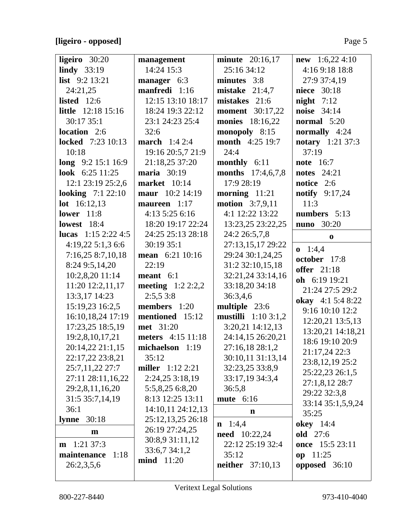# **[ligeiro - opposed]** Page 5

| ligeiro $30:20$           | management              | <b>minute</b> 20:16,17      | <b>new</b> 1:6,22 4:10 |
|---------------------------|-------------------------|-----------------------------|------------------------|
| lindy $33:19$             | 14:24 15:3              | 25:16 34:12                 | 4:16 9:18 18:8         |
| list 9:2 13:21            | manager 6:3             | minutes 3:8                 | 27:9 37:4,19           |
| 24:21,25                  | manfredi 1:16           | mistake $21:4,7$            | niece 30:18            |
| listed $12:6$             | 12:15 13:10 18:17       | mistakes 21:6               | night $7:12$           |
| <b>little</b> 12:18 15:16 | 18:24 19:3 22:12        | <b>moment</b> 30:17,22      | noise 34:14            |
| 30:17 35:1                | 23:1 24:23 25:4         | <b>monies</b> 18:16,22      | normal 5:20            |
| location 2:6              | 32:6                    | monopoly 8:15               | normally 4:24          |
| <b>locked</b> 7:23 10:13  | <b>march</b> $1:42:4$   | <b>month</b> 4:25 19:7      | notary 1:21 37:3       |
| 10:18                     | 19:16 20:5,7 21:9       | 24:4                        | 37:19                  |
| long $9:2 15:1 16:9$      | 21:18,25 37:20          | monthly 6:11                | <b>note</b> 16:7       |
| look 6:25 11:25           | <b>maria</b> 30:19      | months 17:4,6,7,8           | <b>notes</b> 24:21     |
| 12:1 23:19 25:2,6         | <b>market</b> 10:14     | 17:9 28:19                  | notice 2:6             |
| <b>looking</b> 7:1 22:10  | maur 10:2 14:19         | morning $11:21$             | notify $9:17,24$       |
| <b>lot</b> $16:12,13$     | maureen 1:17            | <b>motion</b> 3:7,9,11      | 11:3                   |
| <b>lower</b> 11:8         | 4:13 5:25 6:16          | 4:1 12:22 13:22             | numbers 5:13           |
| <b>lowest</b> 18:4        | 18:20 19:17 22:24       | 13:23,25 23:22,25           | <b>nuno</b> 30:20      |
| lucas $1:15$ 2:22 4:5     | 24:25 25:13 28:18       | 24:2 26:5,7,8               | $\bf{0}$               |
| 4:19,225:1,36:6           | 30:19 35:1              | 27:13,15,17 29:22           | $0 \quad 1:4,4$        |
| 7:16,25 8:7,10,18         | mean 6:21 10:16         | 29:24 30:1,24,25            | october 17:8           |
| 8:24 9:5,14,20            | 22:19                   | 31:2 32:10,15,18            | <b>offer</b> 21:18     |
| 10:2,8,20 11:14           | meant $6:1$             | 32:21,24 33:14,16           | oh 6:19 19:21          |
| 11:20 12:2,11,17          | meeting $1:22:2,2$      | 33:18,20 34:18              | 21:24 27:5 29:2        |
| 13:3,17 14:23             | 2:5,53:8                | 36:3,4,6                    | okay 4:1 5:4 8:22      |
| 15:19,23 16:2,5           | members 1:20            | multiple 23:6               | 9:16 10:10 12:2        |
| 16:10,18,24 17:19         | mentioned 15:12         | <b>mustilli</b> $1:103:1,2$ | 12:20,21 13:5,13       |
| 17:23,25 18:5,19          | met 31:20               | $3:20,21$ 14:12,13          | 13:20,21 14:18,21      |
| 19:2,8,10,17,21           | meters 4:15 11:18       | 24:14,15 26:20,21           | 18:6 19:10 20:9        |
| 20:14,22 21:1,15          | michaelson 1:19         | 27:16,18 28:1,2             | 21:17,24 22:3          |
| 22:17,22 23:8,21          | 35:12                   | 30:10,11 31:13,14           | 23:8,12,19 25:2        |
| 25:7,11,22 27:7           | <b>miller</b> 1:12 2:21 | 32:23,25 33:8,9             | 25:22,23 26:1,5        |
| 27:11 28:11,16,22         | 2:24,253:18,19          | 33:17,19 34:3,4             | 27:1,8,12 28:7         |
| 29:2,8,11,16,20           | 5:5,8,25 6:8,20         | 36:5,8                      | 29:22 32:3,8           |
| 31:5 35:7,14,19           | 8:13 12:25 13:11        | <b>mute</b> 6:16            | 33:14 35:1,5,9,24      |
| 36:1                      | 14:10,11 24:12,13       | n                           | 35:25                  |
| 30:18<br>lynne            | 25:12,13,25 26:18       | $n \quad 1:4,4$             | <b>okey</b> 14:4       |
| m                         | 26:19 27:24,25          | <b>need</b> 10:22,24        | old 27:6               |
| $1:21$ 37:3<br>m          | 30:8,9 31:11,12         | 22:12 25:19 32:4            | once 15:5 23:11        |
| maintenance<br>1:18       | 33:6,7 34:1,2           | 35:12                       | op $11:25$             |
| 26:2,3,5,6                | <b>mind</b> 11:20       | <b>neither</b> 37:10,13     | opposed 36:10          |
|                           |                         |                             |                        |
|                           |                         |                             |                        |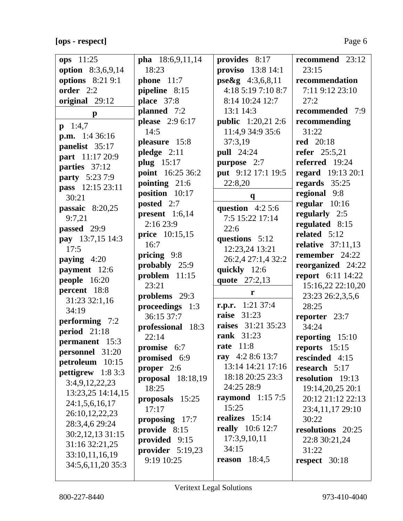**[ops - respect]** Page 6

| ops $11:25$              | pha 18:6,9,11,14    | provides 8:17             | recommend 23:12          |
|--------------------------|---------------------|---------------------------|--------------------------|
| <b>option</b> 8:3,6,9,14 | 18:23               | <b>proviso</b> 13:8 14:1  | 23:15                    |
| options 8:21 9:1         | <b>phone</b> $11:7$ | $pse\&g$ 4:3,6,8,11       | recommendation           |
| order 2:2                | pipeline 8:15       | 4:18 5:19 7:10 8:7        | 7:11 9:12 23:10          |
| original 29:12           | place 37:8          | 8:14 10:24 12:7           | 27:2                     |
| $\mathbf{p}$             | planned 7:2         | 13:1 14:3                 | recommended 7:9          |
| $p \quad 1:4,7$          | please 2:9 6:17     | <b>public</b> 1:20,21 2:6 | recommending             |
| <b>p.m.</b> $1:436:16$   | 14:5                | 11:4,9 34:9 35:6          | 31:22                    |
| panelist 35:17           | pleasure 15:8       | 37:3,19                   | <b>red</b> 20:18         |
| part 11:17 20:9          | pledge $2:11$       | <b>pull</b> 24:24         | <b>refer</b> 25:5,21     |
| parties 37:12            | plug 15:17          | purpose 2:7               | referred 19:24           |
| <b>party</b> 5:23 7:9    | point 16:25 36:2    | put 9:12 17:1 19:5        | <b>regard</b> 19:13 20:1 |
| pass 12:15 23:11         | pointing 21:6       | 22:8,20                   | regards 35:25            |
| 30:21                    | position 10:17      | $\mathbf{q}$              | regional 9:8             |
| passaic $8:20,25$        | posted 2:7          | question $4:25:6$         | regular $10:16$          |
| 9:7,21                   | present $1:6,14$    | 7:5 15:22 17:14           | regularly 2:5            |
| passed 29:9              | 2:1623:9            | 22:6                      | regulated 8:15           |
| pay 13:7,15 14:3         | price 10:15,15      | questions 5:12            | related 5:12             |
| 17:5                     | 16:7                | 12:23,24 13:21            | relative $37:11,13$      |
| paying $4:20$            | pricing 9:8         | 26:2,4 27:1,4 32:2        | remember 24:22           |
| payment 12:6             | probably 25:9       | quickly 12:6              | reorganized 24:22        |
| people 16:20             | problem 11:15       | quote 27:2,13             | <b>report</b> 6:11 14:22 |
| percent 18:8             | 23:21               |                           | 15:16,22 22:10,20        |
| 31:23 32:1,16            | problems 29:3       | $\mathbf{r}$              | 23:23 26:2,3,5,6         |
| 34:19                    | proceedings 1:3     | r.p.r. $1:21\,37:4$       | 28:25                    |
| performing 7:2           | 36:15 37:7          | <b>raise</b> 31:23        | reporter 23:7            |
| period 21:18             | professional 18:3   | raises 31:21 35:23        | 34:24                    |
| permanent 15:3           | 22:14               | <b>rank</b> 31:23         | reporting $15:10$        |
| personnel 31:20          | promise 6:7         | rate $11:8$               | reports 15:15            |
| petroleum 10:15          | promised 6:9        | ray $4:28:613:7$          | rescinded 4:15           |
| pettigrew $1:83:3$       | proper 2:6          | 13:14 14:21 17:16         | research 5:17            |
| 3:4,9,12,22,23           | proposal $18:18,19$ | 18:18 20:25 23:3          | resolution 19:13         |
| 13:23,25 14:14,15        | 18:25               | 24:25 28:9                | 19:14,20,25 20:1         |
| 24:1,5,6,16,17           | proposals 15:25     | raymond $1:157:5$         | 20:12 21:12 22:13        |
| 26:10,12,22,23           | 17:17               | 15:25                     | 23:4,11,17 29:10         |
| 28:3,4,6 29:24           | proposing 17:7      | realizes 15:14            | 30:22                    |
| 30:2,12,13 31:15         | provide 8:15        | <b>really</b> 10:6 12:7   | resolutions 20:25        |
| 31:16 32:21,25           | provided 9:15       | 17:3,9,10,11              | 22:8 30:21,24            |
| 33:10,11,16,19           | provider $5:19,23$  | 34:15                     | 31:22                    |
| 34:5,6,11,20 35:3        | 9:19 10:25          | reason $18:4,5$           | respect $30:18$          |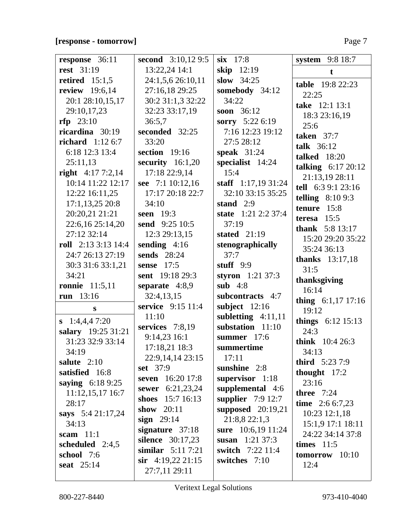# **[response - tomorrow]** Page 7

| response 36:11            | second 3:10,12 9:5      | $six$ 17:8           | system 9:8 18:7             |
|---------------------------|-------------------------|----------------------|-----------------------------|
| <b>rest</b> 31:19         | 13:22,24 14:1           | skip 12:19           | t                           |
| retired $15:1,5$          | 24:1,5,6 26:10,11       | slow $34:25$         | <b>table</b> 19:8 22:23     |
| review 19:6,14            | 27:16,18 29:25          | somebody 34:12       | 22:25                       |
| 20:1 28:10,15,17          | 30:2 31:1,3 32:22       | 34:22                | take 12:1 13:1              |
| 29:10,17,23               | 32:23 33:17,19          | soon 36:12           | 18:3 23:16,19               |
| $rfp$ 23:10               | 36:5,7                  | sorry 5:22 6:19      | 25:6                        |
| ricardina 30:19           | seconded 32:25          | 7:16 12:23 19:12     | taken $37:7$                |
| <b>richard</b> $1:126:7$  | 33:20                   | 27:5 28:12           | talk $36:12$                |
| 6:18 12:3 13:4            | section 19:16           | speak $31:24$        | <b>talked</b> 18:20         |
| 25:11,13                  | security $16:1,20$      | specialist 14:24     | talking $6:17\ 20:12$       |
| right $4:177:2,14$        | 17:18 22:9,14           | 15:4                 | 21:13,19 28:11              |
| 10:14 11:22 12:17         | see $7:1 10:12,16$      | staff $1:17,1931:24$ | tell 6:3 9:1 23:16          |
| 12:22 16:11,25            | 17:17 20:18 22:7        | 32:10 33:15 35:25    | telling $8:109:3$           |
| $17:1,13,25$ 20:8         | 34:10                   | stand $2:9$          | tenure 15:8                 |
| 20:20,21 21:21            | seen 19:3               | state 1:21 2:2 37:4  | teresa $15:5$               |
| 22:6,16 25:14,20          | send 9:25 10:5          | 37:19                | <b>thank</b> 5:8 13:17      |
| 27:12 32:14               | 12:3 29:13,15           | stated $21:19$       | 15:20 29:20 35:22           |
| roll $2:13\,3:13\,14:4$   | sending $4:16$          | stenographically     | 35:24 36:13                 |
| 24:7 26:13 27:19          | <b>sends</b> 28:24      | 37:7                 | <b>thanks</b> 13:17,18      |
| 30:3 31:6 33:1,21         | sense 17:5              | stuff $9:9$          | 31:5                        |
| 34:21                     | sent 19:18 29:3         | styron $1:21\,37:3$  | thanksgiving                |
| ronnie $11:5,11$          | separate 4:8,9          | sub $4:8$            | 16:14                       |
| run $13:16$               | 32:4,13,15              | subcontracts 4:7     | thing 6:1,17 17:16          |
| S                         | service 9:15 11:4       | subject $12:16$      | 19:12                       |
| $\mathbf{s}$ 1:4,4,4 7:20 | 11:10                   | subletting $4:11,11$ | <b>things</b> $6:12\,15:13$ |
| salary 19:25 31:21        | services $7:8,19$       | substation 11:10     | 24:3                        |
| 31:23 32:9 33:14          | 9:14,23 16:1            | summer 17:6          | think 10:4 26:3             |
| 34:19                     | 17:18,21 18:3           | summertime           | 34:13                       |
| salute 2:10               | 22:9, 14, 14 23:15      | 17:11                | <b>third</b> $5:237:9$      |
| satisfied 16:8            | <b>set</b> 37:9         | sunshine 2:8         | thought $17:2$              |
| saying 6:18 9:25          | seven 16:20 17:8        | supervisor 1:18      | 23:16                       |
| 11:12,15,17 16:7          | sewer 6:21,23,24        | supplemental 4:6     | three $7:24$                |
| 28:17                     | shoes 15:7 16:13        | supplier $7:9$ 12:7  | time $2:66:7,23$            |
| says $5:421:17,24$        | show 20:11              | supposed $20:19,21$  | $10:23$ 12:1,18             |
| 34:13                     | sign $29:14$            | 21:8,822:1,3         | 15:1,9 17:1 18:11           |
| scam $11:1$               | signature $37:18$       | sure 10:6,19 11:24   | 24:22 34:14 37:8            |
| scheduled 2:4,5           | <b>silence</b> 30:17,23 | susan $1:21\,37:3$   | times $11:5$                |
| school 7:6                | similar $5:117:21$      | switch 7:22 11:4     | $tomorrow$ 10:10            |
| seat 25:14                | $\sin$ 4:19,22 21:15    | switches 7:10        | 12:4                        |
|                           | 27:7,11 29:11           |                      |                             |

 $\overline{\phantom{a}}$